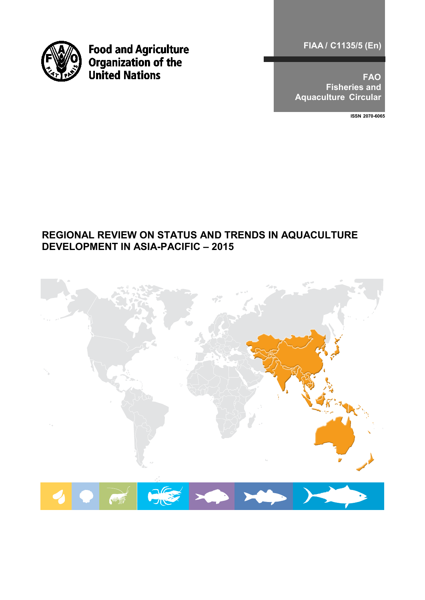

**Food and Agriculture<br>Organization of the<br>United Nations** 

**FIAA / C1135/5 (En)** 

**FAO Fisheries and Aquaculture Circular** 

**ISSN 2070-6065**

# **REGIONAL REVIEW ON STATUS AND TRENDS IN AQUACULTURE DEVELOPMENT IN ASIA-PACIFIC – 2015**

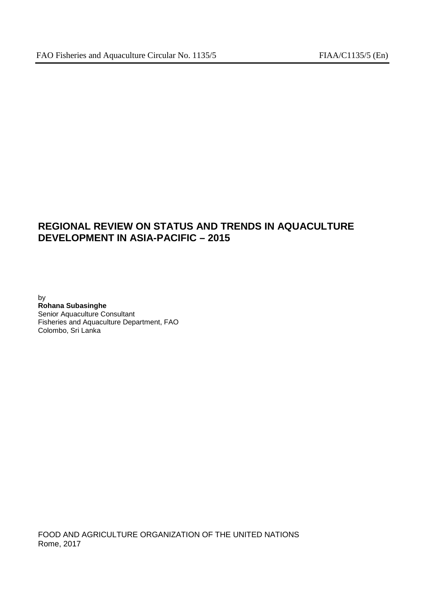# **REGIONAL REVIEW ON STATUS AND TRENDS IN AQUACULTURE DEVELOPMENT IN ASIA-PACIFIC – 2015**

by **Rohana Subasinghe** Senior Aquaculture Consultant Fisheries and Aquaculture Department, FAO Colombo, Sri Lanka

FOOD AND AGRICULTURE ORGANIZATION OF THE UNITED NATIONS Rome, 2017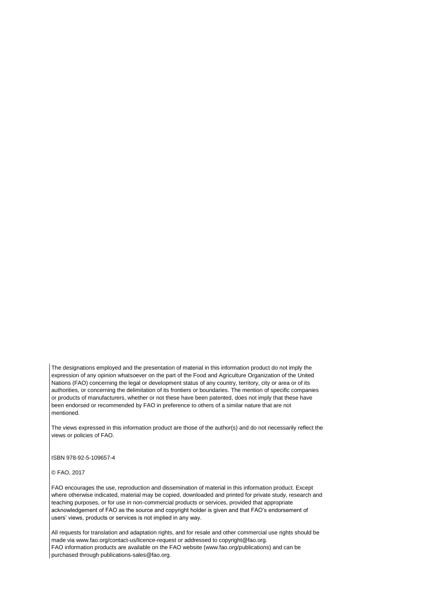The designations employed and the presentation of material in this information product do not imply the expression of any opinion whatsoever on the part of the Food and Agriculture Organization of the United Nations (FAO) concerning the legal or development status of any country, territory, city or area or of its authorities, or concerning the delimitation of its frontiers or boundaries. The mention of specific companies or products of manufacturers, whether or not these have been patented, does not imply that these have been endorsed or recommended by FAO in preference to others of a similar nature that are not mentioned.

The views expressed in this information product are those of the author(s) and do not necessarily reflect the views or policies of FAO.

ISBN 978-92-5-109657-4

© FAO, 2017

FAO encourages the use, reproduction and dissemination of material in this information product. Except where otherwise indicated, material may be copied, downloaded and printed for private study, research and teaching purposes, or for use in non-commercial products or services, provided that appropriate acknowledgement of FAO as the source and copyright holder is given and that FAO's endorsement of users' views, products or services is not implied in any way.

All requests for translation and adaptation rights, and for resale and other commercial use rights should be made via www.fao.org/contact-us/licence-request or addressed to copyright@fao.org. FAO information products are available on the FAO website (www.fao.org/publications) and can be purchased through publications-sales@fao.org.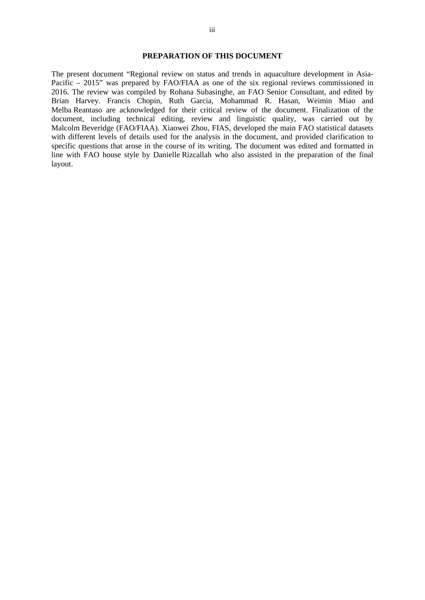#### **PREPARATION OF THIS DOCUMENT**

The present document "Regional review on status and trends in aquaculture development in Asia-Pacific – 2015" was prepared by FAO/FIAA as one of the six regional reviews commissioned in 2016. The review was compiled by Rohana Subasinghe, an FAO Senior Consultant, and edited by Brian Harvey. Francis Chopin, Ruth Garcia, Mohammad R. Hasan, Weimin Miao and Melba Reantaso are acknowledged for their critical review of the document. Finalization of the document, including technical editing, review and linguistic quality, was carried out by Malcolm Beveridge (FAO/FIAA). Xiaowei Zhou, FIAS, developed the main FAO statistical datasets with different levels of details used for the analysis in the document, and provided clarification to specific questions that arose in the course of its writing. The document was edited and formatted in line with FAO house style by Danielle Rizcallah who also assisted in the preparation of the final layout.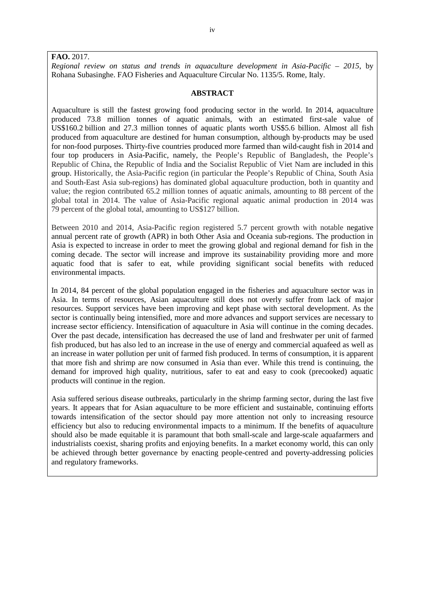### **FAO.** 2017.

*Regional review on status and trends in aquaculture development in Asia-Pacific – 2015*, by Rohana Subasinghe. FAO Fisheries and Aquaculture Circular No. 1135/5. Rome, Italy.

### **ABSTRACT**

Aquaculture is still the fastest growing food producing sector in the world. In 2014, aquaculture produced 73.8 million tonnes of aquatic animals, with an estimated first-sale value of US\$160.2 billion and 27.3 million tonnes of aquatic plants worth US\$5.6 billion. Almost all fish produced from aquaculture are destined for human consumption, although by-products may be used for non-food purposes. Thirty-five countries produced more farmed than wild-caught fish in 2014 and four top producers in Asia-Pacific, namely, the People's Republic of Bangladesh, the People's Republic of China, the Republic of India and the Socialist Republic of Viet Nam are included in this group. Historically, the Asia-Pacific region (in particular the People's Republic of China, South Asia and South-East Asia sub-regions) has dominated global aquaculture production, both in quantity and value; the region contributed 65.2 million tonnes of aquatic animals, amounting to 88 percent of the global total in 2014. The value of Asia-Pacific regional aquatic animal production in 2014 was 79 percent of the global total, amounting to US\$127 billion.

Between 2010 and 2014, Asia-Pacific region registered 5.7 percent growth with notable negative annual percent rate of growth (APR) in both Other Asia and Oceania sub-regions. The production in Asia is expected to increase in order to meet the growing global and regional demand for fish in the coming decade. The sector will increase and improve its sustainability providing more and more aquatic food that is safer to eat, while providing significant social benefits with reduced environmental impacts.

In 2014, 84 percent of the global population engaged in the fisheries and aquaculture sector was in Asia. In terms of resources, Asian aquaculture still does not overly suffer from lack of major resources. Support services have been improving and kept phase with sectoral development. As the sector is continually being intensified, more and more advances and support services are necessary to increase sector efficiency. Intensification of aquaculture in Asia will continue in the coming decades. Over the past decade, intensification has decreased the use of land and freshwater per unit of farmed fish produced, but has also led to an increase in the use of energy and commercial aquafeed as well as an increase in water pollution per unit of farmed fish produced. In terms of consumption, it is apparent that more fish and shrimp are now consumed in Asia than ever. While this trend is continuing, the demand for improved high quality, nutritious, safer to eat and easy to cook (precooked) aquatic products will continue in the region.

Asia suffered serious disease outbreaks, particularly in the shrimp farming sector, during the last five years. It appears that for Asian aquaculture to be more efficient and sustainable, continuing efforts towards intensification of the sector should pay more attention not only to increasing resource efficiency but also to reducing environmental impacts to a minimum. If the benefits of aquaculture should also be made equitable it is paramount that both small-scale and large-scale aquafarmers and industrialists coexist, sharing profits and enjoying benefits. In a market economy world, this can only be achieved through better governance by enacting people-centred and poverty-addressing policies and regulatory frameworks.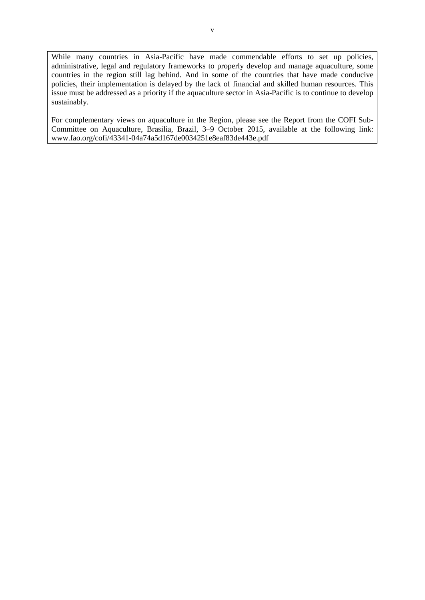While many countries in Asia-Pacific have made commendable efforts to set up policies, administrative, legal and regulatory frameworks to properly develop and manage aquaculture, some countries in the region still lag behind. And in some of the countries that have made conducive policies, their implementation is delayed by the lack of financial and skilled human resources. This issue must be addressed as a priority if the aquaculture sector in Asia-Pacific is to continue to develop sustainably.

For complementary views on aquaculture in the Region, please see the Report from the COFI Sub-Committee on Aquaculture, Brasilia, Brazil, 3–9 October 2015, available at the following link: www.fao.org/cofi/43341-04a74a5d167de0034251e8eaf83de443e.pdf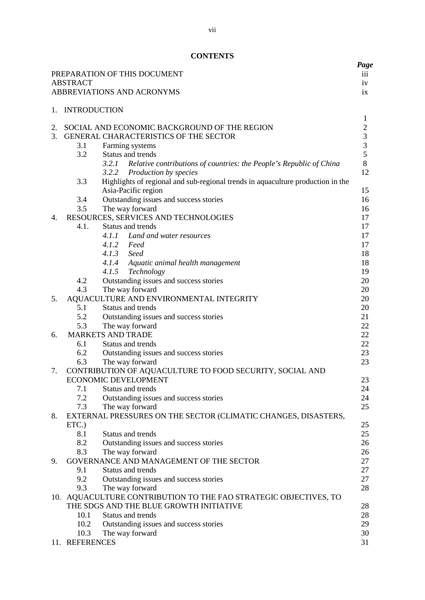# **CONTENTS**

|    |                     |                                                                                     | Page                           |
|----|---------------------|-------------------------------------------------------------------------------------|--------------------------------|
|    |                     | PREPARATION OF THIS DOCUMENT                                                        | 111                            |
|    | <b>ABSTRACT</b>     |                                                                                     | iv                             |
|    |                     | ABBREVIATIONS AND ACRONYMS                                                          | ix                             |
|    |                     |                                                                                     |                                |
| 1. | <b>INTRODUCTION</b> |                                                                                     |                                |
| 2. |                     | SOCIAL AND ECONOMIC BACKGROUND OF THE REGION                                        | $\mathbf{1}$<br>$\overline{2}$ |
| 3. |                     | GENERAL CHARACTERISTICS OF THE SECTOR                                               | $\mathfrak{Z}$                 |
|    | 3.1                 | Farming systems                                                                     | 3                              |
|    | 3.2                 | Status and trends                                                                   | 5                              |
|    |                     | 3.2.1<br>Relative contributions of countries: the People's Republic of China        | $8\,$                          |
|    |                     | 3.2.2<br>Production by species                                                      | 12                             |
|    | 3.3                 | Highlights of regional and sub-regional trends in aquaculture production in the     |                                |
|    |                     | Asia-Pacific region                                                                 | 15                             |
|    | 3.4                 | Outstanding issues and success stories                                              | 16                             |
|    | 3.5                 | The way forward                                                                     | 16                             |
| 4. |                     | RESOURCES, SERVICES AND TECHNOLOGIES                                                | 17                             |
|    | 4.1.                | Status and trends                                                                   | 17                             |
|    |                     | 4.1.1 Land and water resources                                                      | 17                             |
|    |                     | 4.1.2 Feed                                                                          | 17                             |
|    |                     | 4.1.3 Seed                                                                          | 18                             |
|    |                     | 4.1.4 Aquatic animal health management                                              | 18                             |
|    |                     | 4.1.5 Technology                                                                    | 19                             |
|    | 4.2                 | Outstanding issues and success stories                                              | 20                             |
|    | 4.3                 | The way forward                                                                     | 20                             |
| 5. |                     | AQUACULTURE AND ENVIRONMENTAL INTEGRITY                                             | 20                             |
|    | 5.1                 | Status and trends                                                                   | 20                             |
|    | 5.2                 | Outstanding issues and success stories                                              | 21                             |
|    | 5.3                 | The way forward                                                                     | 22                             |
| 6. |                     | <b>MARKETS AND TRADE</b>                                                            | 22                             |
|    | 6.1                 | Status and trends                                                                   | 22                             |
|    | 6.2                 | Outstanding issues and success stories                                              | 23                             |
|    | 6.3                 | The way forward                                                                     | 23                             |
| 7. |                     | CONTRIBUTION OF AQUACULTURE TO FOOD SECURITY, SOCIAL AND                            |                                |
|    |                     | <b>ECONOMIC DEVELOPMENT</b>                                                         | 23                             |
|    | 7.1                 | Status and trends                                                                   | 24                             |
|    | 7.2                 | Outstanding issues and success stories                                              | 24                             |
|    | 7.3                 | The way forward                                                                     | 25                             |
| 8. |                     | EXTERNAL PRESSURES ON THE SECTOR (CLIMATIC CHANGES, DISASTERS,                      |                                |
|    | ETC.)               |                                                                                     | 25                             |
|    | 8.1                 | Status and trends                                                                   | 25                             |
|    | 8.2                 | Outstanding issues and success stories                                              | 26                             |
|    | 8.3                 | The way forward                                                                     | 26                             |
| 9. |                     | GOVERNANCE AND MANAGEMENT OF THE SECTOR<br>Status and trends                        | 27                             |
|    | 9.1<br>9.2          |                                                                                     | 27                             |
|    |                     | Outstanding issues and success stories                                              | 27                             |
|    | 9.3                 | The way forward<br>10. AQUACULTURE CONTRIBUTION TO THE FAO STRATEGIC OBJECTIVES, TO | 28                             |
|    |                     | THE SDGS AND THE BLUE GROWTH INITIATIVE                                             | 28                             |
|    | 10.1                | Status and trends                                                                   | 28                             |
|    | 10.2                | Outstanding issues and success stories                                              | 29                             |
|    | 10.3                | The way forward                                                                     | 30                             |
|    | 11. REFERENCES      |                                                                                     | 31                             |
|    |                     |                                                                                     |                                |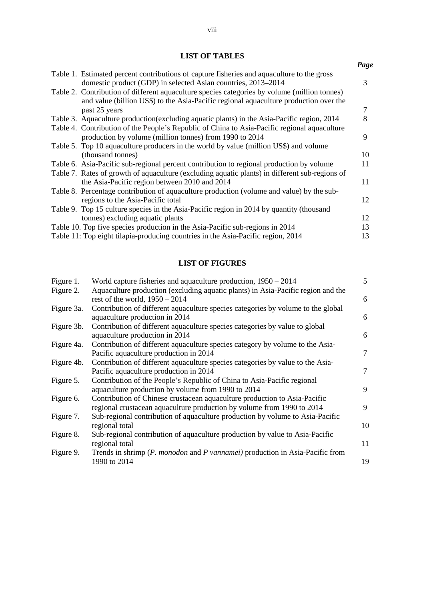# **LIST OF TABLES**

|                                                                                                                                                                                       | Page |
|---------------------------------------------------------------------------------------------------------------------------------------------------------------------------------------|------|
| Table 1. Estimated percent contributions of capture fisheries and aquaculture to the gross                                                                                            |      |
| domestic product (GDP) in selected Asian countries, 2013–2014                                                                                                                         | 3    |
| Table 2. Contribution of different aquaculture species categories by volume (million tonnes)<br>and value (billion US\$) to the Asia-Pacific regional aquaculture production over the |      |
| past 25 years                                                                                                                                                                         | 7    |
| Table 3. Aquaculture production (excluding aquatic plants) in the Asia-Pacific region, 2014                                                                                           | 8    |
| Table 4. Contribution of the People's Republic of China to Asia-Pacific regional aquaculture                                                                                          |      |
| production by volume (million tonnes) from 1990 to 2014                                                                                                                               | 9    |
| Table 5. Top 10 aquaculture producers in the world by value (million US\$) and volume                                                                                                 |      |
| (thousand tonnes)                                                                                                                                                                     | 10   |
| Table 6. Asia-Pacific sub-regional percent contribution to regional production by volume                                                                                              | 11   |
| Table 7. Rates of growth of aquaculture (excluding aquatic plants) in different sub-regions of                                                                                        |      |
| the Asia-Pacific region between 2010 and 2014                                                                                                                                         | 11   |
| Table 8. Percentage contribution of aquaculture production (volume and value) by the sub-                                                                                             |      |
| regions to the Asia-Pacific total                                                                                                                                                     | 12   |
| Table 9. Top 15 culture species in the Asia-Pacific region in 2014 by quantity (thousand                                                                                              |      |
| tonnes) excluding aquatic plants                                                                                                                                                      | 12   |
| Table 10. Top five species production in the Asia-Pacific sub-regions in 2014                                                                                                         | 13   |
| Table 11: Top eight tilapia-producing countries in the Asia-Pacific region, 2014                                                                                                      | 13   |

## **LIST OF FIGURES**

| Figure 1.  | World capture fisheries and aquaculture production, $1950 - 2014$                                                  | 5      |
|------------|--------------------------------------------------------------------------------------------------------------------|--------|
| Figure 2.  | Aquaculture production (excluding aquatic plants) in Asia-Pacific region and the                                   |        |
|            | rest of the world, $1950 - 2014$                                                                                   | 6      |
| Figure 3a. | Contribution of different aquaculture species categories by volume to the global<br>aquaculture production in 2014 | 6      |
| Figure 3b. | Contribution of different aquaculture species categories by value to global                                        |        |
|            | aquaculture production in 2014                                                                                     | 6      |
| Figure 4a. | Contribution of different aquaculture species category by volume to the Asia-                                      |        |
|            | Pacific aquaculture production in 2014                                                                             | 7      |
| Figure 4b. | Contribution of different aquaculture species categories by value to the Asia-                                     |        |
|            | Pacific aquaculture production in 2014                                                                             | $\tau$ |
| Figure 5.  | Contribution of the People's Republic of China to Asia-Pacific regional                                            |        |
|            | aquaculture production by volume from 1990 to 2014                                                                 | 9      |
| Figure 6.  | Contribution of Chinese crustacean aquaculture production to Asia-Pacific                                          |        |
|            | regional crustacean aquaculture production by volume from 1990 to 2014                                             | 9      |
| Figure 7.  | Sub-regional contribution of aquaculture production by volume to Asia-Pacific                                      |        |
|            | regional total                                                                                                     | 10     |
| Figure 8.  | Sub-regional contribution of aquaculture production by value to Asia-Pacific                                       |        |
|            | regional total                                                                                                     | 11     |
| Figure 9.  | Trends in shrimp (P. monodon and P vannamei) production in Asia-Pacific from                                       |        |
|            | 1990 to 2014                                                                                                       | 19     |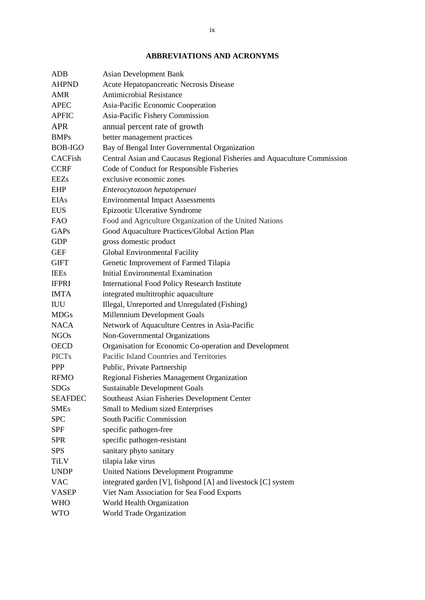# **ABBREVIATIONS AND ACRONYMS**

| <b>ADB</b>     | <b>Asian Development Bank</b>                                            |
|----------------|--------------------------------------------------------------------------|
| <b>AHPND</b>   | Acute Hepatopancreatic Necrosis Disease                                  |
| <b>AMR</b>     | <b>Antimicrobial Resistance</b>                                          |
| <b>APEC</b>    | Asia-Pacific Economic Cooperation                                        |
| <b>APFIC</b>   | Asia-Pacific Fishery Commission                                          |
| <b>APR</b>     | annual percent rate of growth                                            |
| <b>BMPs</b>    | better management practices                                              |
| <b>BOB-IGO</b> | Bay of Bengal Inter Governmental Organization                            |
| <b>CACFish</b> | Central Asian and Caucasus Regional Fisheries and Aquaculture Commission |
| <b>CCRF</b>    | Code of Conduct for Responsible Fisheries                                |
| <b>EEZs</b>    | exclusive economic zones                                                 |
| <b>EHP</b>     | Enterocytozoon hepatopenaei                                              |
| <b>EIAs</b>    | <b>Environmental Impact Assessments</b>                                  |
| <b>EUS</b>     | Epizootic Ulcerative Syndrome                                            |
| <b>FAO</b>     | Food and Agriculture Organization of the United Nations                  |
| GAPs           | Good Aquaculture Practices/Global Action Plan                            |
| <b>GDP</b>     | gross domestic product                                                   |
| <b>GEF</b>     | Global Environmental Facility                                            |
| <b>GIFT</b>    | Genetic Improvement of Farmed Tilapia                                    |
| <b>IEEs</b>    | <b>Initial Environmental Examination</b>                                 |
| <b>IFPRI</b>   | <b>International Food Policy Research Institute</b>                      |
| <b>IMTA</b>    | integrated multitrophic aquaculture                                      |
| <b>IUU</b>     | Illegal, Unreported and Unregulated (Fishing)                            |
| <b>MDGs</b>    | Millennium Development Goals                                             |
| <b>NACA</b>    | Network of Aquaculture Centres in Asia-Pacific                           |
| <b>NGOs</b>    | Non-Governmental Organizations                                           |
| <b>OECD</b>    | Organisation for Economic Co-operation and Development                   |
| <b>PICTs</b>   | Pacific Island Countries and Territories                                 |
| <b>PPP</b>     | Public, Private Partnership                                              |
| <b>RFMO</b>    | Regional Fisheries Management Organization                               |
| <b>SDGs</b>    | Sustainable Development Goals                                            |
| <b>SEAFDEC</b> | Southeast Asian Fisheries Development Center                             |
| <b>SMEs</b>    | Small to Medium sized Enterprises                                        |
| <b>SPC</b>     | South Pacific Commission                                                 |
| SPF            | specific pathogen-free                                                   |
| <b>SPR</b>     | specific pathogen-resistant                                              |
| <b>SPS</b>     | sanitary phyto sanitary                                                  |
| <b>TiLV</b>    | tilapia lake virus                                                       |
| <b>UNDP</b>    | <b>United Nations Development Programme</b>                              |
| <b>VAC</b>     | integrated garden [V], fishpond [A] and livestock [C] system             |
| <b>VASEP</b>   | Viet Nam Association for Sea Food Exports                                |
| <b>WHO</b>     | World Health Organization                                                |
| <b>WTO</b>     | World Trade Organization                                                 |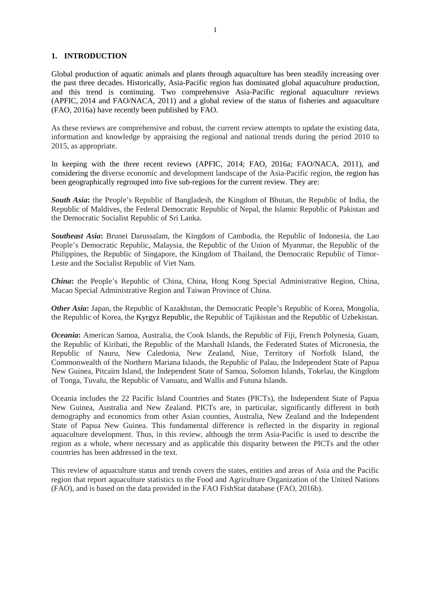#### **1. INTRODUCTION**

Global production of aquatic animals and plants through aquaculture has been steadily increasing over the past three decades. Historically, Asia-Pacific region has dominated global aquaculture production, and this trend is continuing. Two comprehensive Asia-Pacific regional aquaculture reviews (APFIC, 2014 and FAO/NACA, 2011) and a global review of the status of fisheries and aquaculture (FAO, 2016a) have recently been published by FAO.

As these reviews are comprehensive and robust, the current review attempts to update the existing data, information and knowledge by appraising the regional and national trends during the period 2010 to 2015, as appropriate.

In keeping with the three recent reviews (APFIC, 2014; FAO, 2016a; FAO/NACA, 2011), and considering the diverse economic and development landscape of the Asia-Pacific region, the region has been geographically regrouped into five sub-regions for the current review. They are:

*South Asia***:** the People's Republic of Bangladesh, the Kingdom of Bhutan, the Republic of India, the Republic of Maldives, the Federal Democratic Republic of Nepal, the Islamic Republic of Pakistan and the Democratic Socialist Republic of Sri Lanka.

*Southeast Asia***:** Brunei Darussalam, the Kingdom of Cambodia, the Republic of Indonesia, the Lao People's Democratic Republic, Malaysia, the Republic of the Union of Myanmar, the Republic of the Philippines, the Republic of Singapore, the Kingdom of Thailand, the Democratic Republic of Timor-Leste and the Socialist Republic of Viet Nam.

*China***:** the People's Republic of China, China, Hong Kong Special Administrative Region, China, Macao Special Administrative Region and Taiwan Province of China.

*Other Asia***:** Japan, the Republic of Kazakhstan, the Democratic People's Republic of Korea, Mongolia, the Republic of Korea, the Kyrgyz Republic, the Republic of Tajikistan and the Republic of Uzbekistan.

*Oceania***:** American Samoa, Australia, the Cook Islands, the Republic of Fiji, French Polynesia, Guam, the Republic of Kiribati, the Republic of the Marshall Islands, the Federated States of Micronesia, the Republic of Nauru, New Caledonia, New Zealand, Niue, Territory of Norfolk Island, the Commonwealth of the Northern Mariana Islands, the Republic of Palau, the Independent State of Papua New Guinea, Pitcairn Island, the Independent State of Samoa, Solomon Islands, Tokelau, the Kingdom of Tonga, Tuvalu, the Republic of Vanuatu, and Wallis and Futuna Islands.

Oceania includes the 22 Pacific Island Countries and States (PICTs), the Independent State of Papua New Guinea, Australia and New Zealand. PICTs are, in particular, significantly different in both demography and economics from other Asian counties, Australia, New Zealand and the Independent State of Papua New Guinea. This fundamental difference is reflected in the disparity in regional aquaculture development. Thus, in this review, although the term Asia-Pacific is used to describe the region as a whole, where necessary and as applicable this disparity between the PICTs and the other countries has been addressed in the text.

This review of aquaculture status and trends covers the states, entities and areas of Asia and the Pacific region that report aquaculture statistics to the Food and Agriculture Organization of the United Nations (FAO), and is based on the data provided in the FAO FishStat database (FAO, 2016b).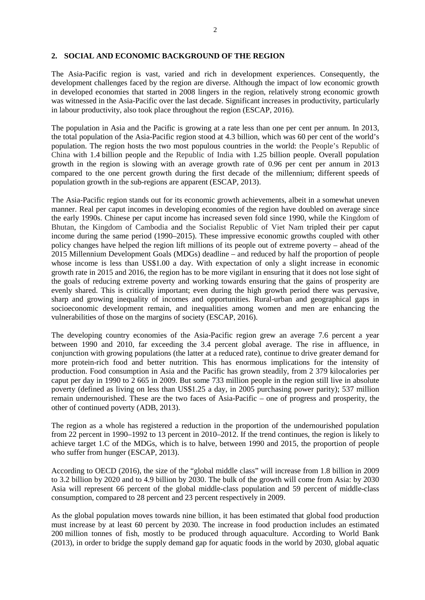#### **2. SOCIAL AND ECONOMIC BACKGROUND OF THE REGION**

The Asia-Pacific region is vast, varied and rich in development experiences. Consequently, the development challenges faced by the region are diverse. Although the impact of low economic growth in developed economies that started in 2008 lingers in the region, relatively strong economic growth was witnessed in the Asia-Pacific over the last decade. Significant increases in productivity, particularly in labour productivity, also took place throughout the region (ESCAP, 2016).

The population in Asia and the Pacific is growing at a rate less than one per cent per annum. In 2013, the total population of the Asia-Pacific region stood at 4.3 billion, which was 60 per cent of the world's population. The region hosts the two most populous countries in the world: the People's Republic of China with 1.4 billion people and the Republic of India with 1.25 billion people. Overall population growth in the region is slowing with an average growth rate of 0.96 per cent per annum in 2013 compared to the one percent growth during the first decade of the millennium; different speeds of population growth in the sub-regions are apparent (ESCAP, 2013).

The Asia-Pacific region stands out for its economic growth achievements, albeit in a somewhat uneven manner. Real per caput incomes in developing economies of the region have doubled on average since the early 1990s. Chinese per caput income has increased seven fold since 1990, while the Kingdom of Bhutan, the Kingdom of Cambodia and the Socialist Republic of Viet Nam tripled their per caput income during the same period (1990–2015). These impressive economic growths coupled with other policy changes have helped the region lift millions of its people out of extreme poverty – ahead of the 2015 Millennium Development Goals (MDGs) deadline – and reduced by half the proportion of people whose income is less than US\$1.00 a day. With expectation of only a slight increase in economic growth rate in 2015 and 2016, the region has to be more vigilant in ensuring that it does not lose sight of the goals of reducing extreme poverty and working towards ensuring that the gains of prosperity are evenly shared. This is critically important; even during the high growth period there was pervasive, sharp and growing inequality of incomes and opportunities. Rural-urban and geographical gaps in socioeconomic development remain, and inequalities among women and men are enhancing the vulnerabilities of those on the margins of society (ESCAP, 2016).

The developing country economies of the Asia-Pacific region grew an average 7.6 percent a year between 1990 and 2010, far exceeding the 3.4 percent global average. The rise in affluence, in conjunction with growing populations (the latter at a reduced rate), continue to drive greater demand for more protein-rich food and better nutrition. This has enormous implications for the intensity of production. Food consumption in Asia and the Pacific has grown steadily, from 2 379 kilocalories per caput per day in 1990 to 2 665 in 2009. But some 733 million people in the region still live in absolute poverty (defined as living on less than US\$1.25 a day, in 2005 purchasing power parity); 537 million remain undernourished. These are the two faces of Asia-Pacific – one of progress and prosperity, the other of continued poverty (ADB, 2013).

The region as a whole has registered a reduction in the proportion of the undernourished population from 22 percent in 1990–1992 to 13 percent in 2010–2012. If the trend continues, the region is likely to achieve target 1.C of the MDGs, which is to halve, between 1990 and 2015, the proportion of people who suffer from hunger (ESCAP, 2013).

According to OECD (2016), the size of the "global middle class" will increase from 1.8 billion in 2009 to 3.2 billion by 2020 and to 4.9 billion by 2030. The bulk of the growth will come from Asia: by 2030 Asia will represent 66 percent of the global middle-class population and 59 percent of middle-class consumption, compared to 28 percent and 23 percent respectively in 2009.

As the global population moves towards nine billion, it has been estimated that global food production must increase by at least 60 percent by 2030. The increase in food production includes an estimated 200 million tonnes of fish, mostly to be produced through aquaculture. According to World Bank (2013), in order to bridge the supply demand gap for aquatic foods in the world by 2030, global aquatic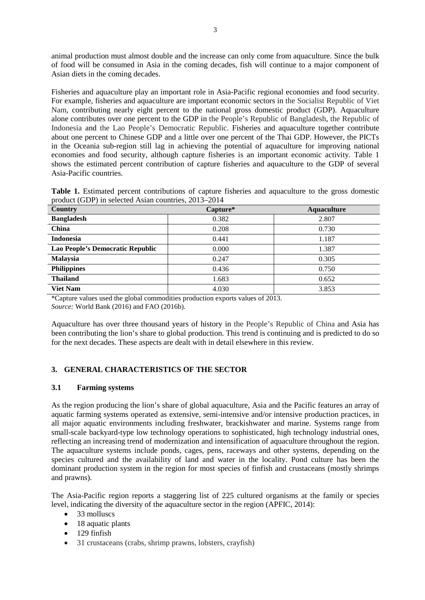animal production must almost double and the increase can only come from aquaculture. Since the bulk of food will be consumed in Asia in the coming decades, fish will continue to a major component of Asian diets in the coming decades.

Fisheries and aquaculture play an important role in Asia-Pacific regional economies and food security. For example, fisheries and aquaculture are important economic sectors in the Socialist Republic of Viet Nam, contributing nearly eight percent to the national gross domestic product (GDP). Aquaculture alone contributes over one percent to the GDP in the People's Republic of Bangladesh, the Republic of Indonesia and the Lao People's Democratic Republic. Fisheries and aquaculture together contribute about one percent to Chinese GDP and a little over one percent of the Thai GDP. However, the PICTs in the Oceania sub-region still lag in achieving the potential of aquaculture for improving national economies and food security, although capture fisheries is an important economic activity. Table 1 shows the estimated percent contribution of capture fisheries and aquaculture to the GDP of several Asia-Pacific countries.

| <b>Table 1.</b> Estimated percent contributions of capture fisheries and aquaculture to the gross domestic |  |  |  |  |
|------------------------------------------------------------------------------------------------------------|--|--|--|--|
| product (GDP) in selected Asian countries, 2013–2014                                                       |  |  |  |  |

| Country                          | Capture* | <b>Aquaculture</b> |
|----------------------------------|----------|--------------------|
| <b>Bangladesh</b>                | 0.382    | 2.807              |
| China                            | 0.208    | 0.730              |
| <b>Indonesia</b>                 | 0.441    | 1.187              |
| Lao People's Democratic Republic | 0.000    | 1.387              |
| <b>Malaysia</b>                  | 0.247    | 0.305              |
| <b>Philippines</b>               | 0.436    | 0.750              |
| <b>Thailand</b>                  | 1.683    | 0.652              |
| <b>Viet Nam</b>                  | 4.030    | 3.853              |

\*Capture values used the global commodities production exports values of 2013. *Source:* World Bank (2016) and FAO (2016b).

Aquaculture has over three thousand years of history in the People's Republic of China and Asia has been contributing the lion's share to global production. This trend is continuing and is predicted to do so for the next decades. These aspects are dealt with in detail elsewhere in this review.

### **3. GENERAL CHARACTERISTICS OF THE SECTOR**

### **3.1 Farming systems**

As the region producing the lion's share of global aquaculture, Asia and the Pacific features an array of aquatic farming systems operated as extensive, semi-intensive and/or intensive production practices, in all major aquatic environments including freshwater, brackishwater and marine. Systems range from small-scale backyard-type low technology operations to sophisticated, high technology industrial ones, reflecting an increasing trend of modernization and intensification of aquaculture throughout the region. The aquaculture systems include ponds, cages, pens, raceways and other systems, depending on the species cultured and the availability of land and water in the locality. Pond culture has been the dominant production system in the region for most species of finfish and crustaceans (mostly shrimps and prawns).

The Asia-Pacific region reports a staggering list of 225 cultured organisms at the family or species level, indicating the diversity of the aquaculture sector in the region (APFIC, 2014):

- 33 molluscs
- 18 aquatic plants
- 129 finfish
- 31 crustaceans (crabs, shrimp prawns, lobsters, crayfish)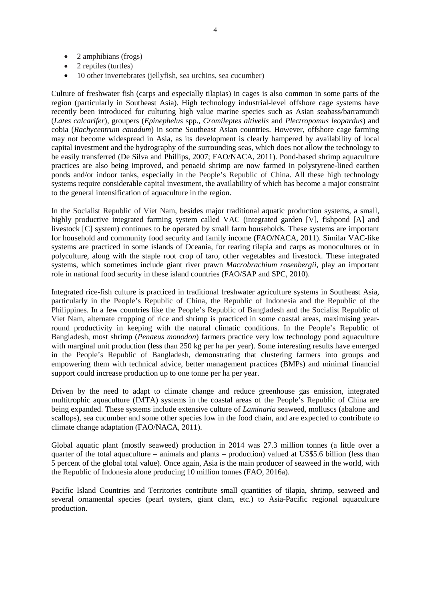- 2 amphibians (frogs)
- 2 reptiles (turtles)
- 10 other invertebrates (jellyfish, sea urchins, sea cucumber)

Culture of freshwater fish (carps and especially tilapias) in cages is also common in some parts of the region (particularly in Southeast Asia). High technology industrial-level offshore cage systems have recently been introduced for culturing high value marine species such as Asian seabass/barramundi (*Lates calcarifer*), groupers (*Epinephelus* spp., *Cromileptes altivelis* and *Plectropomus leopardus*) and cobia (*Rachycentrum canadum*) in some Southeast Asian countries. However, offshore cage farming may not become widespread in Asia, as its development is clearly hampered by availability of local capital investment and the hydrography of the surrounding seas, which does not allow the technology to be easily transferred (De Silva and Phillips, 2007; FAO/NACA, 2011). Pond-based shrimp aquaculture practices are also being improved, and penaeid shrimp are now farmed in polystyrene-lined earthen ponds and/or indoor tanks, especially in the People's Republic of China. All these high technology systems require considerable capital investment, the availability of which has become a major constraint to the general intensification of aquaculture in the region.

In the Socialist Republic of Viet Nam, besides major traditional aquatic production systems, a small, highly productive integrated farming system called VAC (integrated garden [V], fishpond [A] and livestock [C] system) continues to be operated by small farm households. These systems are important for household and community food security and family income (FAO/NACA, 2011). Similar VAC-like systems are practiced in some islands of Oceania, for rearing tilapia and carps as monocultures or in polyculture, along with the staple root crop of taro, other vegetables and livestock. These integrated systems, which sometimes include giant river prawn *Macrobrachium rosenbergii*, play an important role in national food security in these island countries (FAO/SAP and SPC, 2010).

Integrated rice-fish culture is practiced in traditional freshwater agriculture systems in Southeast Asia, particularly in the People's Republic of China, the Republic of Indonesia and the Republic of the Philippines. In a few countries like the People's Republic of Bangladesh and the Socialist Republic of Viet Nam, alternate cropping of rice and shrimp is practiced in some coastal areas, maximising yearround productivity in keeping with the natural climatic conditions. In the People's Republic of Bangladesh, most shrimp (*Penaeus monodon*) farmers practice very low technology pond aquaculture with marginal unit production (less than 250 kg per ha per year). Some interesting results have emerged in the People's Republic of Bangladesh, demonstrating that clustering farmers into groups and empowering them with technical advice, better management practices (BMPs) and minimal financial support could increase production up to one tonne per ha per year.

Driven by the need to adapt to climate change and reduce greenhouse gas emission, integrated multitrophic aquaculture (IMTA) systems in the coastal areas of the People's Republic of China are being expanded. These systems include extensive culture of *Laminaria* seaweed, molluscs (abalone and scallops), sea cucumber and some other species low in the food chain, and are expected to contribute to climate change adaptation (FAO/NACA, 2011).

Global aquatic plant (mostly seaweed) production in 2014 was 27.3 million tonnes (a little over a quarter of the total aquaculture – animals and plants – production) valued at US\$5.6 billion (less than 5 percent of the global total value). Once again, Asia is the main producer of seaweed in the world, with the Republic of Indonesia alone producing 10 million tonnes (FAO, 2016a).

Pacific Island Countries and Territories contribute small quantities of tilapia, shrimp, seaweed and several ornamental species (pearl oysters, giant clam, etc.) to Asia-Pacific regional aquaculture production.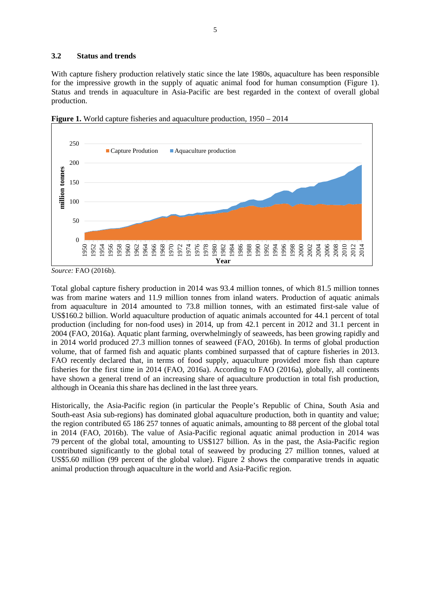#### **3.2 Status and trends**

With capture fishery production relatively static since the late 1980s, aquaculture has been responsible for the impressive growth in the supply of aquatic animal food for human consumption (Figure 1). Status and trends in aquaculture in Asia-Pacific are best regarded in the context of overall global production.



**Figure 1.** World capture fisheries and aquaculture production, 1950 – 2014

Total global capture fishery production in 2014 was 93.4 million tonnes, of which 81.5 million tonnes was from marine waters and 11.9 million tonnes from inland waters. Production of aquatic animals from aquaculture in 2014 amounted to 73.8 million tonnes, with an estimated first-sale value of US\$160.2 billion. World aquaculture production of aquatic animals accounted for 44.1 percent of total production (including for non-food uses) in 2014, up from 42.1 percent in 2012 and 31.1 percent in 2004 (FAO, 2016a). Aquatic plant farming, overwhelmingly of seaweeds, has been growing rapidly and in 2014 world produced 27.3 million tonnes of seaweed (FAO, 2016b). In terms of global production volume, that of farmed fish and aquatic plants combined surpassed that of capture fisheries in 2013. FAO recently declared that, in terms of food supply, aquaculture provided more fish than capture fisheries for the first time in 2014 (FAO, 2016a). According to FAO (2016a), globally, all continents have shown a general trend of an increasing share of aquaculture production in total fish production, although in Oceania this share has declined in the last three years.

Historically, the Asia-Pacific region (in particular the People's Republic of China, South Asia and South-east Asia sub-regions) has dominated global aquaculture production, both in quantity and value; the region contributed 65 186 257 tonnes of aquatic animals, amounting to 88 percent of the global total in 2014 (FAO, 2016b). The value of Asia-Pacific regional aquatic animal production in 2014 was 79 percent of the global total, amounting to US\$127 billion. As in the past, the Asia-Pacific region contributed significantly to the global total of seaweed by producing 27 million tonnes, valued at US\$5.60 million (99 percent of the global value). Figure 2 shows the comparative trends in aquatic animal production through aquaculture in the world and Asia-Pacific region.

*Source:* FAO (2016b).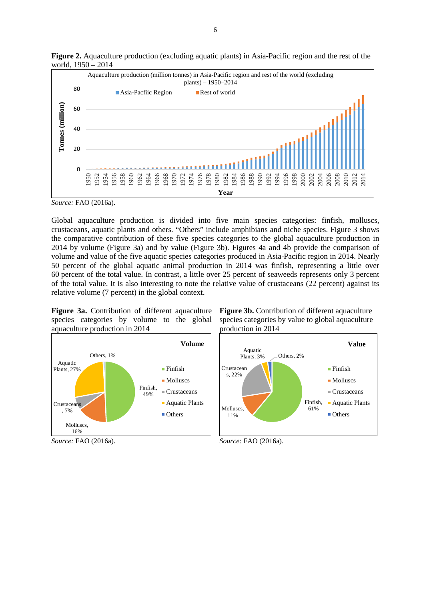

**Figure 2.** Aquaculture production (excluding aquatic plants) in Asia-Pacific region and the rest of the world, 1950 – 2014

Global aquaculture production is divided into five main species categories: finfish, molluscs, crustaceans, aquatic plants and others. "Others" include amphibians and niche species. Figure 3 shows the comparative contribution of these five species categories to the global aquaculture production in 2014 by volume (Figure 3a) and by value (Figure 3b). Figures 4a and 4b provide the comparison of volume and value of the five aquatic species categories produced in Asia-Pacific region in 2014. Nearly 50 percent of the global aquatic animal production in 2014 was finfish, representing a little over 60 percent of the total value. In contrast, a little over 25 percent of seaweeds represents only 3 percent of the total value. It is also interesting to note the relative value of crustaceans (22 percent) against its relative volume (7 percent) in the global context.

**Figure 3a.** Contribution of different aquaculture species categories by volume to the global aquaculture production in 2014



*Source:* FAO (2016a).

**Figure 3b.** Contribution of different aquaculture species categories by value to global aquaculture production in 2014



*Source:* FAO (2016a).

*Source:* FAO (2016a).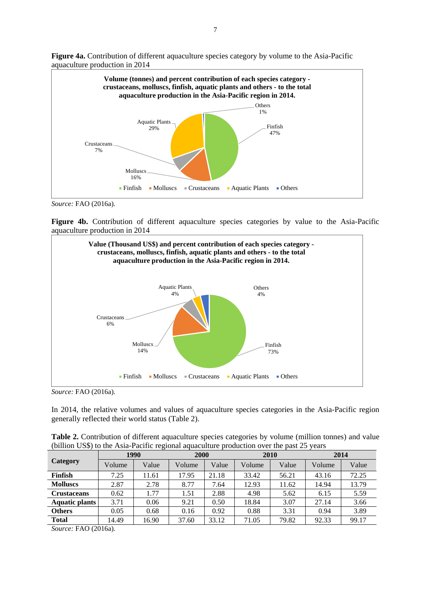

**Figure 4a.** Contribution of different aquaculture species category by volume to the Asia-Pacific aquaculture production in 2014

*Source:* FAO (2016a).

**Figure 4b.** Contribution of different aquaculture species categories by value to the Asia-Pacific aquaculture production in 2014



*Source:* FAO (2016a).

In 2014, the relative volumes and values of aquaculture species categories in the Asia-Pacific region generally reflected their world status (Table 2).

| <b>Table 2.</b> Contribution of different aquaculture species categories by volume (million tonnes) and value |  |
|---------------------------------------------------------------------------------------------------------------|--|
| (billion US\$) to the Asia-Pacific regional aquaculture production over the past 25 years                     |  |

|                    |        | 1990  | 2000   |       | 2010   |       | 2014   |       |
|--------------------|--------|-------|--------|-------|--------|-------|--------|-------|
| <b>Category</b>    | Volume | Value | Volume | Value | Volume | Value | Volume | Value |
| <b>Finfish</b>     | 7.25   | 11.61 | 17.95  | 21.18 | 33.42  | 56.21 | 43.16  | 72.25 |
| <b>Molluscs</b>    | 2.87   | 2.78  | 8.77   | 7.64  | 12.93  | 11.62 | 14.94  | 13.79 |
| <b>Crustaceans</b> | 0.62   | 1.77  | 1.51   | 2.88  | 4.98   | 5.62  | 6.15   | 5.59  |
| Aquatic plants     | 3.71   | 0.06  | 9.21   | 0.50  | 18.84  | 3.07  | 27.14  | 3.66  |
| <b>Others</b>      | 0.05   | 0.68  | 0.16   | 0.92  | 0.88   | 3.31  | 0.94   | 3.89  |
| <b>Total</b>       | 14.49  | 16.90 | 37.60  | 33.12 | 71.05  | 79.82 | 92.33  | 99.17 |

*Source:* FAO (2016a).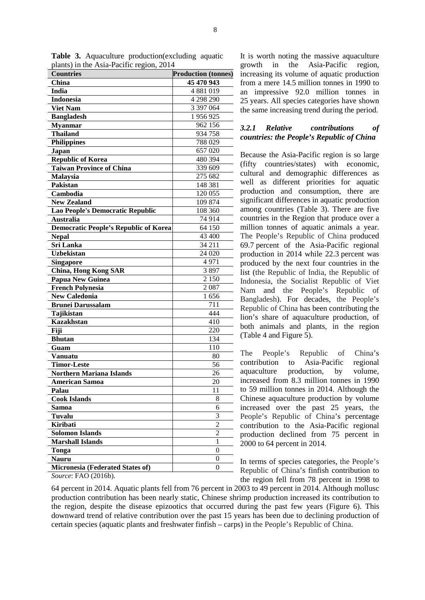| $5.44$ , $201$ $-201$ $-201$<br><b>Countries</b> | <b>Production (tonnes)</b> |
|--------------------------------------------------|----------------------------|
| China                                            | 45 470 943                 |
| India                                            | 4 881 019                  |
| <b>Indonesia</b>                                 | 4 298 290                  |
| <b>Viet Nam</b>                                  | 3 397 064                  |
|                                                  |                            |
| <b>Bangladesh</b>                                | 1 956 925                  |
| <b>Myanmar</b>                                   | 962 156                    |
| <b>Thailand</b>                                  | 934 758                    |
| <b>Philippines</b>                               | 788 029                    |
| Japan                                            | 657 020                    |
| <b>Republic of Korea</b>                         | 480 394                    |
| <b>Taiwan Province of China</b>                  | 339 609                    |
| Malaysia                                         | 275 682                    |
| <b>Pakistan</b>                                  | 148 381                    |
| Cambodia                                         | 120 055                    |
| <b>New Zealand</b>                               | 109 874                    |
| Lao People's Democratic Republic                 | 108 360                    |
| <b>Australia</b>                                 | 74 914                     |
| <b>Democratic People's Republic of Korea</b>     | 64 150                     |
| <b>Nepal</b>                                     | 43 400                     |
| Sri Lanka                                        | 34 211                     |
| <b>Uzbekistan</b>                                | 24 0 20                    |
| <b>Singapore</b>                                 | 4971                       |
| <b>China, Hong Kong SAR</b>                      | 3897                       |
| <b>Papua New Guinea</b>                          | 2 1 5 0                    |
| <b>French Polynesia</b>                          | 2087                       |
| <b>New Caledonia</b>                             | 1656                       |
| <b>Brunei Darussalam</b>                         | 711                        |
| Tajikistan                                       | 444                        |
| <b>Kazakhstan</b>                                | 410                        |
| Fiji                                             | 220                        |
| <b>Bhutan</b>                                    | 134                        |
| Guam                                             | 110                        |
| <b>Vanuatu</b>                                   | 80                         |
| <b>Timor-Leste</b>                               | 56                         |
| <b>Northern Mariana Islands</b>                  | 26                         |
| <b>American Samoa</b>                            | 20                         |
| Palau                                            | 11                         |
| <b>Cook Islands</b>                              | 8                          |
| Samoa                                            | 6                          |
| Tuvalu                                           | 3                          |
| <b>Kiribati</b>                                  | $\overline{c}$             |
| <b>Solomon Islands</b>                           | $\overline{c}$             |
| <b>Marshall Islands</b>                          | 1                          |
| Tonga                                            | $\overline{0}$             |
| <b>Nauru</b>                                     | $\overline{0}$             |
| Micronesia (Federated States of)                 | $\overline{0}$             |
|                                                  |                            |

**Table 3.** Aquaculture production(excluding aquatic plants) in the Asia-Pacific region, 2014

It is worth noting the massive aquaculture growth in the Asia-Pacific region, increasing its volume of aquatic production from a mere 14.5 million tonnes in 1990 to an impressive 92.0 million tonnes in 25 years. All species categories have shown the same increasing trend during the period.

### *3.2.1 Relative contributions of countries: the People's Republic of China*

Because the Asia-Pacific region is so large (fifty countries/states) with economic, cultural and demographic differences as well as different priorities for aquatic production and consumption, there are significant differences in aquatic production among countries (Table 3). There are five countries in the Region that produce over a million tonnes of aquatic animals a year. The People's Republic of China produced 69.7 percent of the Asia-Pacific regional production in 2014 while 22.3 percent was produced by the next four countries in the list (the Republic of India, the Republic of Indonesia, the Socialist Republic of Viet Nam and the People's Republic of Bangladesh). For decades, the People's Republic of China has been contributing the lion's share of aquaculture production, of both animals and plants, in the region (Table 4 and Figure 5).

The People's Republic of China's contribution to Asia-Pacific regional aquaculture production, by volume, increased from 8.3 million tonnes in 1990 to 59 million tonnes in 2014. Although the Chinese aquaculture production by volume increased over the past 25 years, the People's Republic of China's percentage contribution to the Asia-Pacific regional production declined from 75 percent in 2000 to 64 percent in 2014.

In terms of species categories, the People's Republic of China's finfish contribution to the region fell from 78 percent in 1998 to

64 percent in 2014. Aquatic plants fell from 76 percent in 2003 to 49 percent in 2014. Although mollusc production contribution has been nearly static, Chinese shrimp production increased its contribution to the region, despite the disease epizootics that occurred during the past few years (Figure 6). This downward trend of relative contribution over the past 15 years has been due to declining production of certain species (aquatic plants and freshwater finfish – carps) in the People's Republic of China.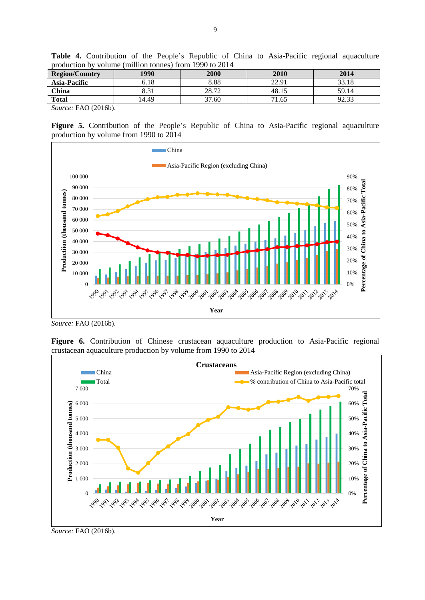| <b>Region/Country</b>                                                         | 1990 | 2000  | 2010  | 2014            |  |  |  |
|-------------------------------------------------------------------------------|------|-------|-------|-----------------|--|--|--|
| <b>Asia-Pacific</b>                                                           | 6.18 | 8.88  | 22.91 | 33.18           |  |  |  |
| <b>China</b>                                                                  | 8.31 | 28.72 | 48.15 | 59.14           |  |  |  |
| <b>Total</b>                                                                  | 4.49 | 37.60 | 71.65 | 02.22<br>ل د. ک |  |  |  |
| $\Gamma$ $\Lambda$ $\Omega$ $\Lambda$ $\Lambda$ $\Lambda$ $\Lambda$<br>$\sim$ |      |       |       |                 |  |  |  |

**Table 4.** Contribution of the People's Republic of China to Asia-Pacific regional aquaculture production by volume (million tonnes) from 1990 to 2014

**Figure 5.** Contribution of the People's Republic of China to Asia-Pacific regional aquaculture production by volume from 1990 to 2014



*Source:* FAO (2016b).

Figure 6. Contribution of Chinese crustacean aquaculture production to Asia-Pacific regional crustacean aquaculture production by volume from 1990 to 2014



*Source:* FAO (2016b).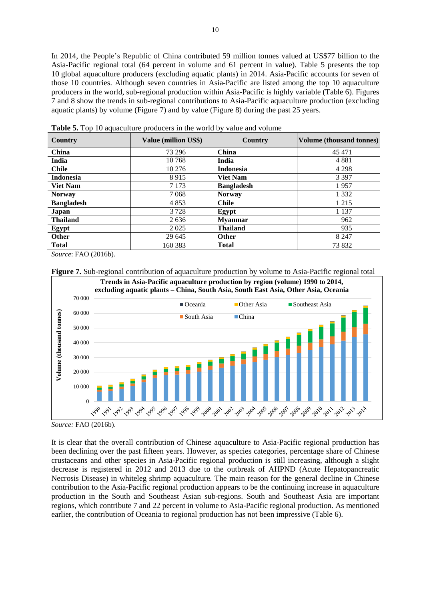In 2014, the People's Republic of China contributed 59 million tonnes valued at US\$77 billion to the Asia-Pacific regional total (64 percent in volume and 61 percent in value). Table 5 presents the top 10 global aquaculture producers (excluding aquatic plants) in 2014. Asia-Pacific accounts for seven of those 10 countries. Although seven countries in Asia-Pacific are listed among the top 10 aquaculture producers in the world, sub-regional production within Asia-Pacific is highly variable (Table 6). Figures 7 and 8 show the trends in sub-regional contributions to Asia-Pacific aquaculture production (excluding aquatic plants) by volume (Figure 7) and by value (Figure 8) during the past 25 years.

| Country           | Value (million US\$) | <b>Country</b>    | <b>Volume (thousand tonnes)</b> |
|-------------------|----------------------|-------------------|---------------------------------|
| China             | 73 296               | <b>China</b>      | 45 471                          |
| India             | 10 768               | India             | 4881                            |
| <b>Chile</b>      | 10 276               | <b>Indonesia</b>  | 4 2 9 8                         |
| <b>Indonesia</b>  | 8915                 | <b>Viet Nam</b>   | 3 3 9 7                         |
| <b>Viet Nam</b>   | 7 1 7 3              | <b>Bangladesh</b> | 1957                            |
| <b>Norway</b>     | 7 0 6 8              | <b>Norway</b>     | 1 3 3 2                         |
| <b>Bangladesh</b> | 4853                 | <b>Chile</b>      | 1 2 1 5                         |
| Japan             | 3728                 | Egypt             | 1 1 3 7                         |
| <b>Thailand</b>   | 2636                 | <b>Myanmar</b>    | 962                             |
| Egypt             | 2 0 2 5              | <b>Thailand</b>   | 935                             |
| <b>Other</b>      | 29 645               | <b>Other</b>      | 8 2 4 7                         |
| <b>Total</b>      | 160 383              | <b>Total</b>      | 73 832                          |

**Table 5.** Top 10 aquaculture producers in the world by value and volume

*Source*: FAO (2016b).



**Figure 7.** Sub-regional contribution of aquaculture production by volume to Asia-Pacific regional total

*Source:* FAO (2016b).

It is clear that the overall contribution of Chinese aquaculture to Asia-Pacific regional production has been declining over the past fifteen years. However, as species categories, percentage share of Chinese crustaceans and other species in Asia-Pacific regional production is still increasing, although a slight decrease is registered in 2012 and 2013 due to the outbreak of AHPND (Acute Hepatopancreatic Necrosis Disease) in whiteleg shrimp aquaculture*.* The main reason for the general decline in Chinese contribution to the Asia-Pacific regional production appears to be the continuing increase in aquaculture production in the South and Southeast Asian sub-regions. South and Southeast Asia are important regions, which contribute 7 and 22 percent in volume to Asia-Pacific regional production. As mentioned earlier, the contribution of Oceania to regional production has not been impressive (Table 6).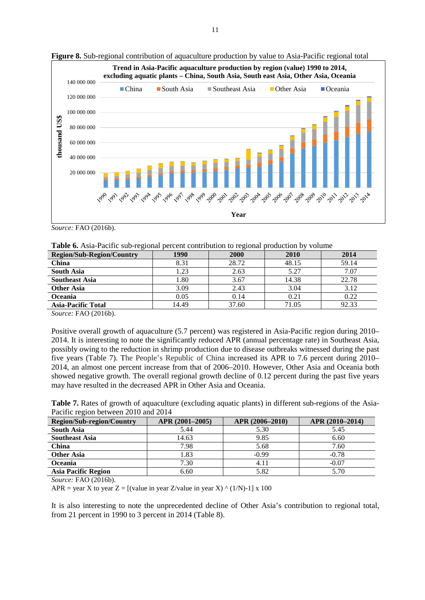

**Figure 8.** Sub-regional contribution of aquaculture production by value to Asia-Pacific regional total

*Source:* FAO (2016b).

| Table 6. Asia-Pacific sub-regional percent contribution to regional production by volume |  |  |
|------------------------------------------------------------------------------------------|--|--|
|                                                                                          |  |  |

| <b>Region/Sub-Region/Country</b> | 1990  | 2000  | 2010  | 2014  |
|----------------------------------|-------|-------|-------|-------|
| China                            | 8.31  | 28.72 | 48.15 | 59.14 |
| South Asia                       | 1.23  | 2.63  | 5.27  | 7.07  |
| <b>Southeast Asia</b>            | 1.80  | 3.67  | 14.38 | 22.78 |
| <b>Other Asia</b>                | 3.09  | 2.43  | 3.04  | 3.12  |
| <b>Oceania</b>                   | 0.05  | 0.14  | 0.21  | 0.22  |
| <b>Asia-Pacific Total</b>        | 14.49 | 37.60 | 71.05 | 92.33 |

Positive overall growth of aquaculture (5.7 percent) was registered in Asia-Pacific region during 2010– 2014. It is interesting to note the significantly reduced APR (annual percentage rate) in Southeast Asia, possibly owing to the reduction in shrimp production due to disease outbreaks witnessed during the past five years (Table 7). The People's Republic of China increased its APR to 7.6 percent during 2010– 2014, an almost one percent increase from that of 2006–2010. However, Other Asia and Oceania both showed negative growth. The overall regional growth decline of 0.12 percent during the past five years may have resulted in the decreased APR in Other Asia and Oceania.

**Table 7.** Rates of growth of aquaculture (excluding aquatic plants) in different sub-regions of the Asia-Pacific region between 2010 and 2014

| <b>Region/Sub-region/Country</b> | APR (2001-2005) | APR (2006–2010) | APR (2010-2014) |
|----------------------------------|-----------------|-----------------|-----------------|
| <b>South Asia</b>                | 5.44            | 5.30            | 5.45            |
| <b>Southeast Asia</b>            | 14.63           | 9.85            | 6.60            |
| <b>China</b>                     | 7.98            | 5.68            | 7.60            |
| <b>Other Asia</b>                | l.83            | $-0.99$         | $-0.78$         |
| <b>Oceania</b>                   | 7.30            | 4.11            | $-0.07$         |
| <b>Asia Pacific Region</b>       | 6.60            | 5.82            | 5.70            |

*Source:* FAO (2016b).

APR = year X to year  $Z = [(value in year Z/value in year X) (1/N)-1] x 100$ 

It is also interesting to note the unprecedented decline of Other Asia's contribution to regional total, from 21 percent in 1990 to 3 percent in 2014 (Table 8).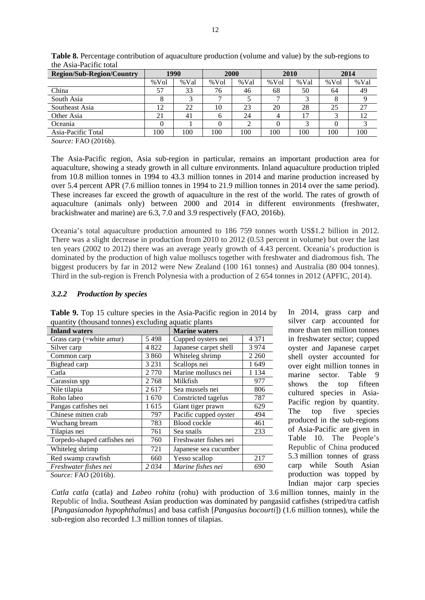| <b>Region/Sub-Region/Country</b>                                   |         | 1990 |         | 2000 |         | 2010 |      | 2014 |
|--------------------------------------------------------------------|---------|------|---------|------|---------|------|------|------|
|                                                                    | $%$ Vol | %Val | $%$ Vol | %Val | $%$ Vol | %Val | %Vol | %Val |
| China                                                              | 57      | 33   | 76      | 46   | 68      | 50   | 64   | 49   |
| South Asia                                                         | 8       |      |         |      |         |      |      |      |
| Southeast Asia                                                     | 12      | 22   | 10      | 23   | 20      | 28   | 25   | 27   |
| Other Asia                                                         | 21      | 41   | h       | 24   | 4       | 17   | ⌒    | 12   |
| Oceania                                                            |         |      |         |      | 0       |      |      |      |
| Asia-Pacific Total                                                 | 100     | 100  | 100     | 100  | 100     | 100  | 100  | 100  |
| $\Gamma$ $\Lambda$ $\Omega$ $\Lambda$ $\Omega$ $\Lambda$<br>$\sim$ |         |      |         |      |         |      |      |      |

**Table 8.** Percentage contribution of aquaculture production (volume and value) by the sub-regions to the Asia-Pacific total

The Asia-Pacific region, Asia sub-region in particular, remains an important production area for aquaculture, showing a steady growth in all culture environments. Inland aquaculture production tripled from 10.8 million tonnes in 1994 to 43.3 million tonnes in 2014 and marine production increased by over 5.4 percent APR (7.6 million tonnes in 1994 to 21.9 million tonnes in 2014 over the same period). These increases far exceed the growth of aquaculture in the rest of the world. The rates of growth of aquaculture (animals only) between 2000 and 2014 in different environments (freshwater, brackishwater and marine) are 6.3, 7.0 and 3.9 respectively (FAO, 2016b).

Oceania's total aquaculture production amounted to 186 759 tonnes worth US\$1.2 billion in 2012. There was a slight decrease in production from 2010 to 2012 (0.53 percent in volume) but over the last ten years (2002 to 2012) there was an average yearly growth of 4.43 percent. Oceania's production is dominated by the production of high value molluscs together with freshwater and diadromous fish. The biggest producers by far in 2012 were New Zealand (100 161 tonnes) and Australia (80 004 tonnes). Third in the sub-region is French Polynesia with a production of 2 654 tonnes in 2012 (APFIC, 2014).

#### *3.2.2 Production by species*

| <b>Inland waters</b> |                       | <b>Marine waters</b> |  |  |
|----------------------|-----------------------|----------------------|--|--|
| 5498                 | Cupped oysters nei    | 4 3 7 1              |  |  |
| 4 8 2 2              | Japanese carpet shell | 3974                 |  |  |
| 3 8 6 0              | Whiteleg shrimp       | 2 2 6 0              |  |  |
| 3 2 3 1              | Scallops nei          | 1 649                |  |  |
| 2 7 7 0              | Marine molluscs nei   | 1 1 3 4              |  |  |
| 2768                 | Milkfish              | 977                  |  |  |
| 2617                 | Sea mussels nei       | 806                  |  |  |
| 1670                 | Constricted tagelus   | 787                  |  |  |
| 1615                 | Giant tiger prawn     | 629                  |  |  |
| 797                  | Pacific cupped oyster | 494                  |  |  |
| 783                  | <b>Blood cockle</b>   | 461                  |  |  |
| 761                  | Sea snails            | 233                  |  |  |
| 760                  | Freshwater fishes nei |                      |  |  |
| 721                  | Japanese sea cucumber |                      |  |  |
| 660                  | Yesso scallop         | 217                  |  |  |
| 2034                 | Marine fishes nei     | 690                  |  |  |
|                      |                       |                      |  |  |

**Table 9.** Top 15 culture species in the Asia-Pacific region in 2014 by quantity (thousand tonnes) excluding aquatic plants

In 2014, grass carp and silver carp accounted for more than ten million tonnes in freshwater sector; cupped oyster and Japanese carpet shell oyster accounted for over eight million tonnes in marine sector. Table 9 shows the top fifteen cultured species in Asia-Pacific region by quantity. The top five species produced in the sub-regions of Asia-Pacific are given in Table 10. The People's Republic of China produced 5.3 million tonnes of grass carp while South Asian production was topped by Indian major carp species

*Source:* FAO (2016b).

*Catla catla* (catla) and *Labeo rohita* (rohu) with production of 3.6 million tonnes, mainly in the Republic of India. Southeast Asian production was dominated by pangasiid catfishes (striped/tra catfish [*Pangasianodon hypophthalmus*] and basa catfish [*Pangasius bocourti*]) (1.6 million tonnes), while the sub-region also recorded 1.3 million tonnes of tilapias.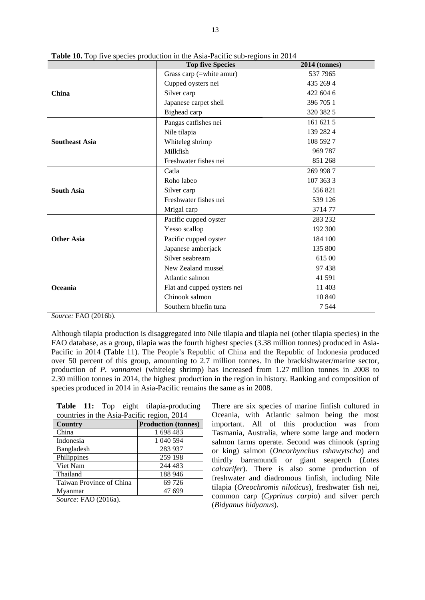|                       | <b>Top five Species</b>     | 2014 (tonnes) |  |  |
|-----------------------|-----------------------------|---------------|--|--|
|                       | Grass carp (=white amur)    | 537 7965      |  |  |
| <b>China</b>          | Cupped oysters nei          | 435 269 4     |  |  |
|                       | Silver carp                 | 422 604 6     |  |  |
|                       | Japanese carpet shell       | 396 705 1     |  |  |
|                       | Bighead carp                | 320 382 5     |  |  |
|                       | Pangas catfishes nei        | 161 621 5     |  |  |
|                       | Nile tilapia                | 139 282 4     |  |  |
| <b>Southeast Asia</b> | Whiteleg shrimp             | 108 592 7     |  |  |
|                       | Milkfish                    | 969 787       |  |  |
|                       | Freshwater fishes nei       | 851 268       |  |  |
|                       | Catla                       | 269 998 7     |  |  |
|                       | Roho labeo                  | 107 363 3     |  |  |
| <b>South Asia</b>     | Silver carp                 | 556821        |  |  |
|                       | Freshwater fishes nei       | 539 126       |  |  |
|                       | Mrigal carp                 | 371477        |  |  |
|                       | Pacific cupped oyster       | 283 232       |  |  |
|                       | Yesso scallop               | 192 300       |  |  |
| <b>Other Asia</b>     | Pacific cupped oyster       | 184 100       |  |  |
|                       | Japanese amberjack          | 135 800       |  |  |
|                       | Silver seabream             | 61500         |  |  |
|                       | New Zealand mussel          | 97438         |  |  |
|                       | Atlantic salmon             | 41 591        |  |  |
| Oceania               | Flat and cupped oysters nei | 11 403        |  |  |
|                       | Chinook salmon              | 10 840        |  |  |
|                       | Southern bluefin tuna       | 7 5 4 4       |  |  |

**Table 10.** Top five species production in the Asia-Pacific sub-regions in 2014

Although tilapia production is disaggregated into Nile tilapia and tilapia nei (other tilapia species) in the FAO database, as a group, tilapia was the fourth highest species (3.38 million tonnes) produced in Asia-Pacific in 2014 (Table 11). The People's Republic of China and the Republic of Indonesia produced over 50 percent of this group, amounting to 2.7 million tonnes. In the brackishwater/marine sector, production of *P. vannamei* (whiteleg shrimp) has increased from 1.27 million tonnes in 2008 to 2.30 million tonnes in 2014, the highest production in the region in history. Ranking and composition of species produced in 2014 in Asia-Pacific remains the same as in 2008.

**Table 11:** Top eight tilapia-producing countries in the Asia-Pacific region, 2014

| <b>Country</b>                                                                | <b>Production (tonnes)</b> |
|-------------------------------------------------------------------------------|----------------------------|
| China                                                                         | 1698483                    |
| Indonesia                                                                     | 1 040 594                  |
| Bangladesh                                                                    | 283 937                    |
| Philippines                                                                   | 259 198                    |
| Viet Nam                                                                      | 244 483                    |
| Thailand                                                                      | 188 946                    |
| Taiwan Province of China                                                      | 69 726                     |
| Myanmar                                                                       | 47 699                     |
| $\Gamma$ $\Lambda$ $\Omega$ $\Lambda$ $\Lambda$ $\Lambda$ $\Lambda$<br>$\sim$ |                            |

*Source:* FAO (2016a).

There are six species of marine finfish cultured in Oceania, with Atlantic salmon being the most important. All of this production was from Tasmania, Australia, where some large and modern salmon farms operate. Second was chinook (spring or king) salmon (*Oncorhynchus tshawytscha*) and thirdly barramundi or giant seaperch (*Lates calcarifer*). There is also some production of freshwater and diadromous finfish, including Nile tilapia (*Oreochromis niloticus*), freshwater fish nei, common carp (*Cyprinus carpio*) and silver perch (*Bidyanus bidyanus*).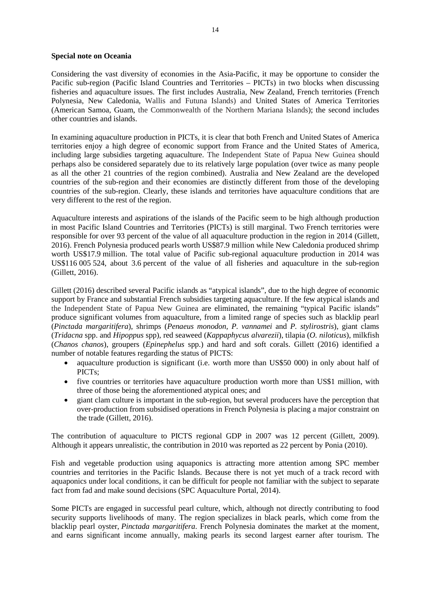#### **Special note on Oceania**

Considering the vast diversity of economies in the Asia-Pacific, it may be opportune to consider the Pacific sub-region (Pacific Island Countries and Territories – PICTs) in two blocks when discussing fisheries and aquaculture issues. The first includes Australia, New Zealand, French territories (French Polynesia, New Caledonia, Wallis and Futuna Islands) and United States of America Territories (American Samoa, Guam, the Commonwealth of the Northern Mariana Islands); the second includes other countries and islands.

In examining aquaculture production in PICTs, it is clear that both French and United States of America territories enjoy a high degree of economic support from France and the United States of America, including large subsidies targeting aquaculture. The Independent State of Papua New Guinea should perhaps also be considered separately due to its relatively large population (over twice as many people as all the other 21 countries of the region combined). Australia and New Zealand are the developed countries of the sub-region and their economies are distinctly different from those of the developing countries of the sub-region. Clearly, these islands and territories have aquaculture conditions that are very different to the rest of the region.

Aquaculture interests and aspirations of the islands of the Pacific seem to be high although production in most Pacific Island Countries and Territories (PICTs) is still marginal. Two French territories were responsible for over 93 percent of the value of all aquaculture production in the region in 2014 (Gillett, 2016). French Polynesia produced pearls worth US\$87.9 million while New Caledonia produced shrimp worth US\$17.9 million. The total value of Pacific sub-regional aquaculture production in 2014 was US\$116 005 524, about 3.6 percent of the value of all fisheries and aquaculture in the sub-region (Gillett, 2016).

Gillett (2016) described several Pacific islands as "atypical islands", due to the high degree of economic support by France and substantial French subsidies targeting aquaculture. If the few atypical islands and the Independent State of Papua New Guinea are eliminated, the remaining "typical Pacific islands" produce significant volumes from aquaculture, from a limited range of species such as blacklip pearl (*Pinctada margaritifera*), shrimps (*Penaeus monodon, P. vannamei* and *P. stylirostris*), giant clams (*Tridacna* spp. and *Hipoppus* spp), red seaweed (*Kappaphycus alvarezii*), tilapia (*O. niloticus*), milkfish (*Chanos chanos*), groupers (*Epinephelus* spp.) and hard and soft corals. Gillett (2016) identified a number of notable features regarding the status of PICTS:

- aquaculture production is significant (i.e. worth more than US\$50 000) in only about half of PICTs;
- five countries or territories have aquaculture production worth more than US\$1 million, with three of those being the aforementioned atypical ones; and
- giant clam culture is important in the sub-region, but several producers have the perception that over-production from subsidised operations in French Polynesia is placing a major constraint on the trade (Gillett, 2016).

The contribution of aquaculture to PICTS regional GDP in 2007 was 12 percent (Gillett, 2009). Although it appears unrealistic, the contribution in 2010 was reported as 22 percent by Ponia (2010).

Fish and vegetable production using aquaponics is attracting more attention among SPC member countries and territories in the Pacific Islands. Because there is not yet much of a track record with aquaponics under local conditions, it can be difficult for people not familiar with the subject to separate fact from fad and make sound decisions (SPC Aquaculture Portal, 2014).

Some PICTs are engaged in successful pearl culture, which, although not directly contributing to food security supports livelihoods of many. The region specializes in black pearls, which come from the blacklip pearl oyster, *Pinctada margaritifera*. French Polynesia dominates the market at the moment, and earns significant income annually, making pearls its second largest earner after tourism. The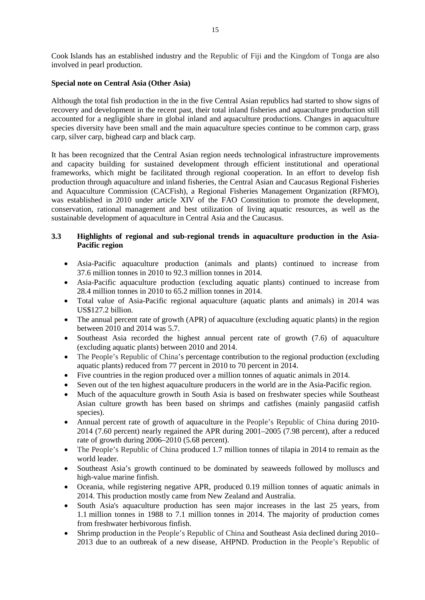Cook Islands has an established industry and the Republic of Fiji and the Kingdom of Tonga are also involved in pearl production.

#### **Special note on Central Asia (Other Asia)**

Although the total fish production in the in the five Central Asian republics had started to show signs of recovery and development in the recent past, their total inland fisheries and aquaculture production still accounted for a negligible share in global inland and aquaculture productions. Changes in aquaculture species diversity have been small and the main aquaculture species continue to be common carp, grass carp, silver carp, bighead carp and black carp.

It has been recognized that the Central Asian region needs technological infrastructure improvements and capacity building for sustained development through efficient institutional and operational frameworks, which might be facilitated through regional cooperation. In an effort to develop fish production through aquaculture and inland fisheries, the Central Asian and Caucasus Regional Fisheries and Aquaculture Commission (CACFish), a Regional Fisheries Management Organization (RFMO), was established in 2010 under article XIV of the FAO Constitution to promote the development, conservation, rational management and best utilization of living aquatic resources, as well as the sustainable development of aquaculture in Central Asia and the Caucasus.

### **3.3 Highlights of regional and sub-regional trends in aquaculture production in the Asia-Pacific region**

- Asia-Pacific aquaculture production (animals and plants) continued to increase from 37.6 million tonnes in 2010 to 92.3 million tonnes in 2014.
- Asia-Pacific aquaculture production (excluding aquatic plants) continued to increase from 28.4 million tonnes in 2010 to 65.2 million tonnes in 2014.
- Total value of Asia-Pacific regional aquaculture (aquatic plants and animals) in 2014 was US\$127.2 billion.
- The annual percent rate of growth (APR) of aquaculture (excluding aquatic plants) in the region between 2010 and 2014 was 5.7.
- Southeast Asia recorded the highest annual percent rate of growth (7.6) of aquaculture (excluding aquatic plants) between 2010 and 2014.
- The People's Republic of China's percentage contribution to the regional production (excluding aquatic plants) reduced from 77 percent in 2010 to 70 percent in 2014.
- Five countries in the region produced over a million tonnes of aquatic animals in 2014.
- Seven out of the ten highest aquaculture producers in the world are in the Asia-Pacific region.
- Much of the aquaculture growth in South Asia is based on freshwater species while Southeast Asian culture growth has been based on shrimps and catfishes (mainly pangasiid catfish species).
- Annual percent rate of growth of aquaculture in the People's Republic of China during 2010- 2014 (7.60 percent) nearly regained the APR during 2001–2005 (7.98 percent), after a reduced rate of growth during 2006–2010 (5.68 percent).
- The People's Republic of China produced 1.7 million tonnes of tilapia in 2014 to remain as the world leader.
- Southeast Asia's growth continued to be dominated by seaweeds followed by molluscs and high-value marine finfish.
- Oceania, while registering negative APR, produced 0.19 million tonnes of aquatic animals in 2014. This production mostly came from New Zealand and Australia.
- South Asia's aquaculture production has seen major increases in the last 25 years, from 1.1 million tonnes in 1988 to 7.1 million tonnes in 2014. The majority of production comes from freshwater herbivorous finfish.
- Shrimp production in the People's Republic of China and Southeast Asia declined during 2010– 2013 due to an outbreak of a new disease, AHPND. Production in the People's Republic of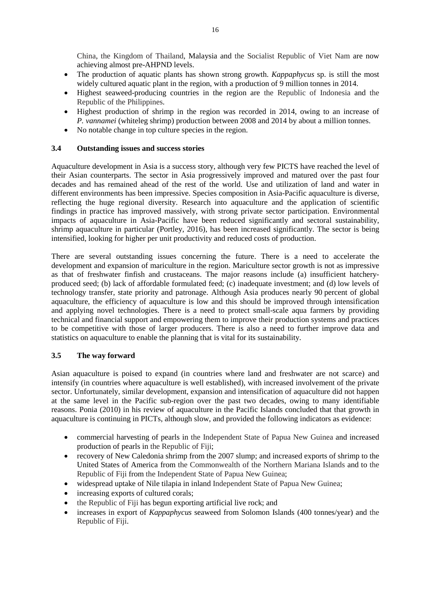China, the Kingdom of Thailand, Malaysia and the Socialist Republic of Viet Nam are now achieving almost pre-AHPND levels.

- The production of aquatic plants has shown strong growth. *Kappaphycus* sp. is still the most widely cultured aquatic plant in the region, with a production of 9 million tonnes in 2014.
- Highest seaweed-producing countries in the region are the Republic of Indonesia and the Republic of the Philippines.
- Highest production of shrimp in the region was recorded in 2014, owing to an increase of *P. vannamei* (whiteleg shrimp) production between 2008 and 2014 by about a million tonnes.
- No notable change in top culture species in the region.

### **3.4 Outstanding issues and success stories**

Aquaculture development in Asia is a success story, although very few PICTS have reached the level of their Asian counterparts. The sector in Asia progressively improved and matured over the past four decades and has remained ahead of the rest of the world. Use and utilization of land and water in different environments has been impressive. Species composition in Asia-Pacific aquaculture is diverse, reflecting the huge regional diversity. Research into aquaculture and the application of scientific findings in practice has improved massively, with strong private sector participation. Environmental impacts of aquaculture in Asia-Pacific have been reduced significantly and sectoral sustainability, shrimp aquaculture in particular (Portley, 2016), has been increased significantly. The sector is being intensified, looking for higher per unit productivity and reduced costs of production.

There are several outstanding issues concerning the future. There is a need to accelerate the development and expansion of mariculture in the region. Mariculture sector growth is not as impressive as that of freshwater finfish and crustaceans. The major reasons include (a) insufficient hatcheryproduced seed; (b) lack of affordable formulated feed; (c) inadequate investment; and (d) low levels of technology transfer, state priority and patronage. Although Asia produces nearly 90 percent of global aquaculture, the efficiency of aquaculture is low and this should be improved through intensification and applying novel technologies. There is a need to protect small-scale aqua farmers by providing technical and financial support and empowering them to improve their production systems and practices to be competitive with those of larger producers. There is also a need to further improve data and statistics on aquaculture to enable the planning that is vital for its sustainability.

### **3.5 The way forward**

Asian aquaculture is poised to expand (in countries where land and freshwater are not scarce) and intensify (in countries where aquaculture is well established), with increased involvement of the private sector. Unfortunately, similar development, expansion and intensification of aquaculture did not happen at the same level in the Pacific sub-region over the past two decades, owing to many identifiable reasons. Ponia (2010) in his review of aquaculture in the Pacific Islands concluded that that growth in aquaculture is continuing in PICTs, although slow, and provided the following indicators as evidence:

- commercial harvesting of pearls in the Independent State of Papua New Guinea and increased production of pearls in the Republic of Fiji;
- recovery of New Caledonia shrimp from the 2007 slump; and increased exports of shrimp to the United States of America from the Commonwealth of the Northern Mariana Islands and to the Republic of Fiji from the Independent State of Papua New Guinea;
- widespread uptake of Nile tilapia in inland Independent State of Papua New Guinea;
- increasing exports of cultured corals;
- the Republic of Fiji has begun exporting artificial live rock; and
- increases in export of *Kappaphycus* seaweed from Solomon Islands (400 tonnes/year) and the Republic of Fiji.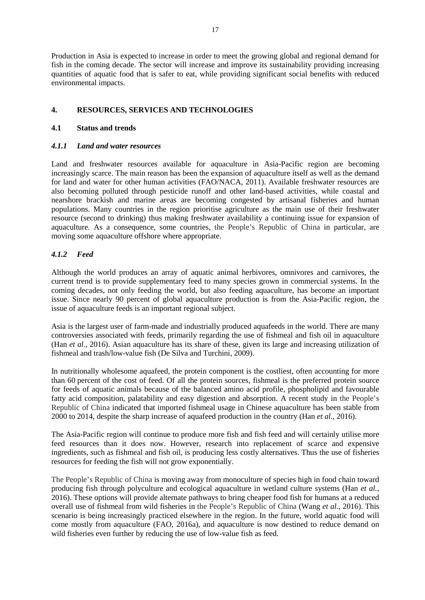Production in Asia is expected to increase in order to meet the growing global and regional demand for fish in the coming decade. The sector will increase and improve its sustainability providing increasing quantities of aquatic food that is safer to eat, while providing significant social benefits with reduced environmental impacts.

### **4. RESOURCES, SERVICES AND TECHNOLOGIES**

#### **4.1 Status and trends**

#### *4.1.1 Land and water resources*

Land and freshwater resources available for aquaculture in Asia-Pacific region are becoming increasingly scarce. The main reason has been the expansion of aquaculture itself as well as the demand for land and water for other human activities (FAO/NACA, 2011). Available freshwater resources are also becoming polluted through pesticide runoff and other land-based activities, while coastal and nearshore brackish and marine areas are becoming congested by artisanal fisheries and human populations. Many countries in the region prioritise agriculture as the main use of their freshwater resource (second to drinking) thus making freshwater availability a continuing issue for expansion of aquaculture. As a consequence, some countries, the People's Republic of China in particular, are moving some aquaculture offshore where appropriate.

### *4.1.2 Feed*

Although the world produces an array of aquatic animal herbivores, omnivores and carnivores, the current trend is to provide supplementary feed to many species grown in commercial systems. In the coming decades, not only feeding the world, but also feeding aquaculture, has become an important issue. Since nearly 90 percent of global aquaculture production is from the Asia-Pacific region, the issue of aquaculture feeds is an important regional subject.

Asia is the largest user of farm-made and industrially produced aquafeeds in the world. There are many controversies associated with feeds, primarily regarding the use of fishmeal and fish oil in aquaculture (Han *et al.*, 2016). Asian aquaculture has its share of these, given its large and increasing utilization of fishmeal and trash/low-value fish (De Silva and Turchini, 2009).

In nutritionally wholesome aquafeed, the protein component is the costliest, often accounting for more than 60 percent of the cost of feed. Of all the protein sources, fishmeal is the preferred protein source for feeds of aquatic animals because of the balanced amino acid profile, phospholipid and favourable fatty acid composition, palatability and easy digestion and absorption. A recent study in the People's Republic of China indicated that imported fishmeal usage in Chinese aquaculture has been stable from 2000 to 2014, despite the sharp increase of aquafeed production in the country (Han *et al.*, 2016).

The Asia-Pacific region will continue to produce more fish and fish feed and will certainly utilise more feed resources than it does now. However, research into replacement of scarce and expensive ingredients, such as fishmeal and fish oil, is producing less costly alternatives. Thus the use of fisheries resources for feeding the fish will not grow exponentially.

The People's Republic of China is moving away from monoculture of species high in food chain toward producing fish through polyculture and ecological aquaculture in wetland culture systems (Han *et al.*, 2016). These options will provide alternate pathways to bring cheaper food fish for humans at a reduced overall use of fishmeal from wild fisheries in the People's Republic of China (Wang *et al.,* 2016). This scenario is being increasingly practiced elsewhere in the region. In the future, world aquatic food will come mostly from aquaculture (FAO, 2016a), and aquaculture is now destined to reduce demand on wild fisheries even further by reducing the use of low-value fish as feed.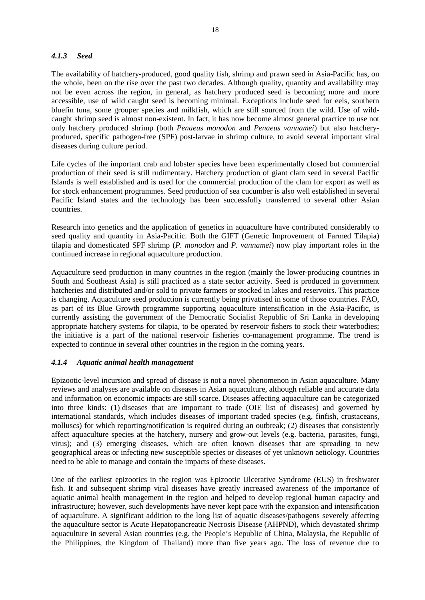### *4.1.3 Seed*

The availability of hatchery-produced, good quality fish, shrimp and prawn seed in Asia-Pacific has, on the whole, been on the rise over the past two decades. Although quality, quantity and availability may not be even across the region, in general, as hatchery produced seed is becoming more and more accessible, use of wild caught seed is becoming minimal. Exceptions include seed for eels, southern bluefin tuna, some grouper species and milkfish, which are still sourced from the wild. Use of wildcaught shrimp seed is almost non-existent. In fact, it has now become almost general practice to use not only hatchery produced shrimp (both *Penaeus monodon* and *Penaeus vannamei*) but also hatcheryproduced, specific pathogen-free (SPF) post-larvae in shrimp culture, to avoid several important viral diseases during culture period.

Life cycles of the important crab and lobster species have been experimentally closed but commercial production of their seed is still rudimentary. Hatchery production of giant clam seed in several Pacific Islands is well established and is used for the commercial production of the clam for export as well as for stock enhancement programmes. Seed production of sea cucumber is also well established in several Pacific Island states and the technology has been successfully transferred to several other Asian countries.

Research into genetics and the application of genetics in aquaculture have contributed considerably to seed quality and quantity in Asia-Pacific. Both the GIFT (Genetic Improvement of Farmed Tilapia) tilapia and domesticated SPF shrimp (*P. monodon* and *P. vannamei*) now play important roles in the continued increase in regional aquaculture production.

Aquaculture seed production in many countries in the region (mainly the lower-producing countries in South and Southeast Asia) is still practiced as a state sector activity. Seed is produced in government hatcheries and distributed and/or sold to private farmers or stocked in lakes and reservoirs. This practice is changing. Aquaculture seed production is currently being privatised in some of those countries. FAO, as part of its Blue Growth programme supporting aquaculture intensification in the Asia-Pacific, is currently assisting the government of the Democratic Socialist Republic of Sri Lanka in developing appropriate hatchery systems for tilapia, to be operated by reservoir fishers to stock their waterbodies; the initiative is a part of the national reservoir fisheries co-management programme. The trend is expected to continue in several other countries in the region in the coming years.

### *4.1.4 Aquatic animal health management*

Epizootic-level incursion and spread of disease is not a novel phenomenon in Asian aquaculture. Many reviews and analyses are available on diseases in Asian aquaculture, although reliable and accurate data and information on economic impacts are still scarce. Diseases affecting aquaculture can be categorized into three kinds: (1) diseases that are important to trade (OIE list of diseases) and governed by international standards, which includes diseases of important traded species (e.g. finfish, crustaceans, molluscs) for which reporting/notification is required during an outbreak; (2) diseases that consistently affect aquaculture species at the hatchery, nursery and grow-out levels (e.g. bacteria, parasites, fungi, virus); and (3) emerging diseases, which are often known diseases that are spreading to new geographical areas or infecting new susceptible species or diseases of yet unknown aetiology. Countries need to be able to manage and contain the impacts of these diseases.

One of the earliest epizootics in the region was Epizootic Ulcerative Syndrome (EUS) in freshwater fish. It and subsequent shrimp viral diseases have greatly increased awareness of the importance of aquatic animal health management in the region and helped to develop regional human capacity and infrastructure; however, such developments have never kept pace with the expansion and intensification of aquaculture. A significant addition to the long list of aquatic diseases/pathogens severely affecting the aquaculture sector is Acute Hepatopancreatic Necrosis Disease (AHPND), which devastated shrimp aquaculture in several Asian countries (e.g. the People's Republic of China, Malaysia, the Republic of the Philippines, the Kingdom of Thailand) more than five years ago. The loss of revenue due to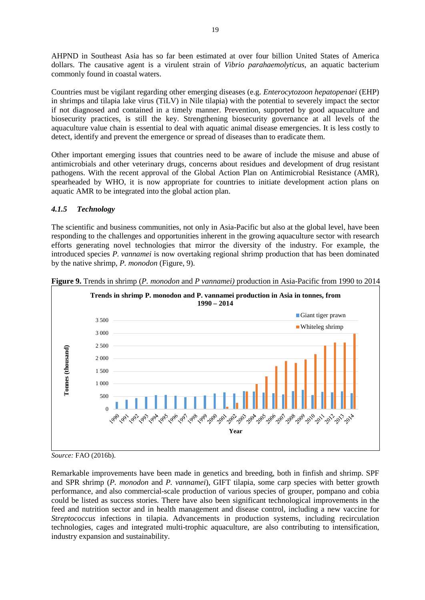AHPND in Southeast Asia has so far been estimated at over four billion United States of America dollars. The causative agent is a virulent strain of *Vibrio parahaemolyticus*, an aquatic bacterium commonly found in coastal waters.

Countries must be vigilant regarding other emerging diseases (e.g. *Enterocytozoon hepatopenaei* (EHP) in shrimps and tilapia lake virus (TiLV) in Nile tilapia) with the potential to severely impact the sector if not diagnosed and contained in a timely manner. Prevention, supported by good aquaculture and biosecurity practices, is still the key. Strengthening biosecurity governance at all levels of the aquaculture value chain is essential to deal with aquatic animal disease emergencies. It is less costly to detect, identify and prevent the emergence or spread of diseases than to eradicate them.

Other important emerging issues that countries need to be aware of include the misuse and abuse of antimicrobials and other veterinary drugs, concerns about residues and development of drug resistant pathogens. With the recent approval of the Global Action Plan on Antimicrobial Resistance (AMR), spearheaded by WHO, it is now appropriate for countries to initiate development action plans on aquatic AMR to be integrated into the global action plan.

### *4.1.5 Technology*

The scientific and business communities, not only in Asia-Pacific but also at the global level, have been responding to the challenges and opportunities inherent in the growing aquaculture sector with research efforts generating novel technologies that mirror the diversity of the industry. For example, the introduced species *P. vannamei* is now overtaking regional shrimp production that has been dominated by the native shrimp, *P. monodon* (Figure, 9).



**Figure 9.** Trends in shrimp (*P. monodon* and *P vannamei)* production in Asia-Pacific from 1990 to 2014

*Source:* FAO (2016b).

Remarkable improvements have been made in genetics and breeding, both in finfish and shrimp. SPF and SPR shrimp (*P. monodon* and *P. vannamei*), GIFT tilapia, some carp species with better growth performance, and also commercial-scale production of various species of grouper, pompano and cobia could be listed as success stories. There have also been significant technological improvements in the feed and nutrition sector and in health management and disease control, including a new vaccine for *Streptococcus* infections in tilapia. Advancements in production systems, including recirculation technologies, cages and integrated multi-trophic aquaculture, are also contributing to intensification, industry expansion and sustainability.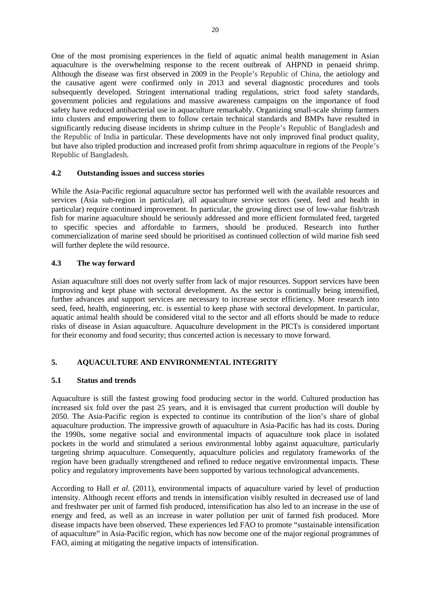One of the most promising experiences in the field of aquatic animal health management in Asian aquaculture is the overwhelming response to the recent outbreak of AHPND in penaeid shrimp. Although the disease was first observed in 2009 in the People's Republic of China, the aetiology and the causative agent were confirmed only in 2013 and several diagnostic procedures and tools subsequently developed. Stringent international trading regulations, strict food safety standards, government policies and regulations and massive awareness campaigns on the importance of food safety have reduced antibacterial use in aquaculture remarkably. Organizing small-scale shrimp farmers into clusters and empowering them to follow certain technical standards and BMPs have resulted in significantly reducing disease incidents in shrimp culture in the People's Republic of Bangladesh and the Republic of India in particular. These developments have not only improved final product quality, but have also tripled production and increased profit from shrimp aquaculture in regions of the People's Republic of Bangladesh.

### **4.2 Outstanding issues and success stories**

While the Asia-Pacific regional aquaculture sector has performed well with the available resources and services (Asia sub-region in particular), all aquaculture service sectors (seed, feed and health in particular) require continued improvement. In particular, the growing direct use of low-value fish/trash fish for marine aquaculture should be seriously addressed and more efficient formulated feed, targeted to specific species and affordable to farmers, should be produced. Research into further commercialization of marine seed should be prioritised as continued collection of wild marine fish seed will further deplete the wild resource.

### **4.3 The way forward**

Asian aquaculture still does not overly suffer from lack of major resources. Support services have been improving and kept phase with sectoral development. As the sector is continually being intensified, further advances and support services are necessary to increase sector efficiency. More research into seed, feed, health, engineering, etc. is essential to keep phase with sectoral development. In particular, aquatic animal health should be considered vital to the sector and all efforts should be made to reduce risks of disease in Asian aquaculture. Aquaculture development in the PICTs is considered important for their economy and food security; thus concerted action is necessary to move forward.

### **5. AQUACULTURE AND ENVIRONMENTAL INTEGRITY**

### **5.1 Status and trends**

Aquaculture is still the fastest growing food producing sector in the world. Cultured production has increased six fold over the past 25 years, and it is envisaged that current production will double by 2050. The Asia-Pacific region is expected to continue its contribution of the lion's share of global aquaculture production. The impressive growth of aquaculture in Asia-Pacific has had its costs. During the 1990s, some negative social and environmental impacts of aquaculture took place in isolated pockets in the world and stimulated a serious environmental lobby against aquaculture, particularly targeting shrimp aquaculture. Consequently, aquaculture policies and regulatory frameworks of the region have been gradually strengthened and refined to reduce negative environmental impacts. These policy and regulatory improvements have been supported by various technological advancements.

According to Hall *et al*. (2011), environmental impacts of aquaculture varied by level of production intensity. Although recent efforts and trends in intensification visibly resulted in decreased use of land and freshwater per unit of farmed fish produced, intensification has also led to an increase in the use of energy and feed, as well as an increase in water pollution per unit of farmed fish produced. More disease impacts have been observed. These experiences led FAO to promote "sustainable intensification of aquaculture" in Asia-Pacific region, which has now become one of the major regional programmes of FAO, aiming at mitigating the negative impacts of intensification.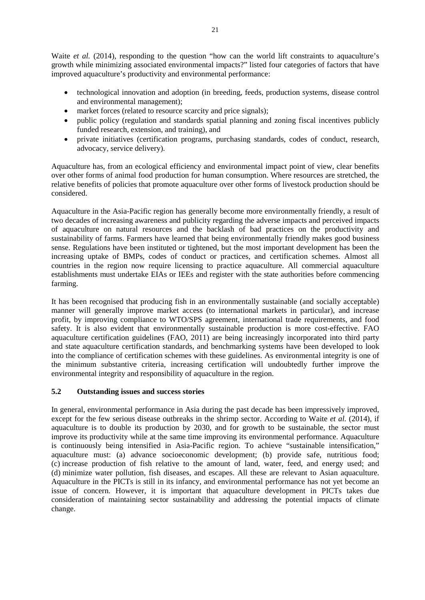Waite *et al.* (2014), responding to the question "how can the world lift constraints to aquaculture's growth while minimizing associated environmental impacts?" listed four categories of factors that have improved aquaculture's productivity and environmental performance:

- technological innovation and adoption (in breeding, feeds, production systems, disease control and environmental management);
- market forces (related to resource scarcity and price signals);
- public policy (regulation and standards spatial planning and zoning fiscal incentives publicly funded research, extension, and training), and
- private initiatives (certification programs, purchasing standards, codes of conduct, research, advocacy, service delivery).

Aquaculture has, from an ecological efficiency and environmental impact point of view, clear benefits over other forms of animal food production for human consumption. Where resources are stretched, the relative benefits of policies that promote aquaculture over other forms of livestock production should be considered.

Aquaculture in the Asia-Pacific region has generally become more environmentally friendly, a result of two decades of increasing awareness and publicity regarding the adverse impacts and perceived impacts of aquaculture on natural resources and the backlash of bad practices on the productivity and sustainability of farms. Farmers have learned that being environmentally friendly makes good business sense. Regulations have been instituted or tightened, but the most important development has been the increasing uptake of BMPs, codes of conduct or practices, and certification schemes. Almost all countries in the region now require licensing to practice aquaculture. All commercial aquaculture establishments must undertake EIAs or IEEs and register with the state authorities before commencing farming.

It has been recognised that producing fish in an environmentally sustainable (and socially acceptable) manner will generally improve market access (to international markets in particular), and increase profit, by improving compliance to WTO/SPS agreement, international trade requirements, and food safety. It is also evident that environmentally sustainable production is more cost-effective. FAO aquaculture certification guidelines (FAO, 2011) are being increasingly incorporated into third party and state aquaculture certification standards, and benchmarking systems have been developed to look into the compliance of certification schemes with these guidelines. As environmental integrity is one of the minimum substantive criteria, increasing certification will undoubtedly further improve the environmental integrity and responsibility of aquaculture in the region.

### **5.2 Outstanding issues and success stories**

In general, environmental performance in Asia during the past decade has been impressively improved, except for the few serious disease outbreaks in the shrimp sector. According to Waite *et al.* (2014), if aquaculture is to double its production by 2030, and for growth to be sustainable, the sector must improve its productivity while at the same time improving its environmental performance. Aquaculture is continuously being intensified in Asia-Pacific region. To achieve "sustainable intensification," aquaculture must: (a) advance socioeconomic development; (b) provide safe, nutritious food; (c) increase production of fish relative to the amount of land, water, feed, and energy used; and (d) minimize water pollution, fish diseases, and escapes. All these are relevant to Asian aquaculture. Aquaculture in the PICTs is still in its infancy, and environmental performance has not yet become an issue of concern. However, it is important that aquaculture development in PICTs takes due consideration of maintaining sector sustainability and addressing the potential impacts of climate change.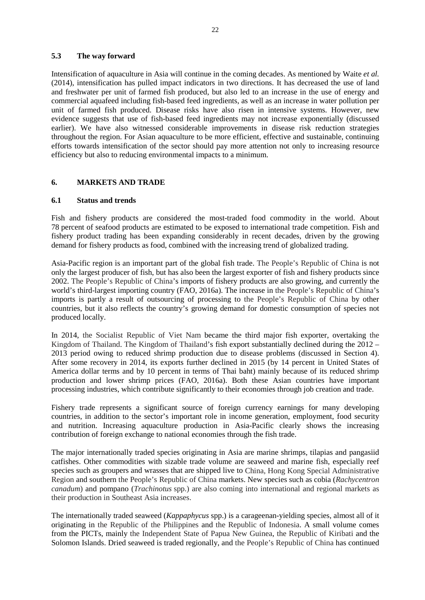#### **5.3 The way forward**

Intensification of aquaculture in Asia will continue in the coming decades. As mentioned by Waite *et al.* (2014), intensification has pulled impact indicators in two directions. It has decreased the use of land and freshwater per unit of farmed fish produced, but also led to an increase in the use of energy and commercial aquafeed including fish-based feed ingredients, as well as an increase in water pollution per unit of farmed fish produced. Disease risks have also risen in intensive systems. However, new evidence suggests that use of fish-based feed ingredients may not increase exponentially (discussed earlier). We have also witnessed considerable improvements in disease risk reduction strategies throughout the region. For Asian aquaculture to be more efficient, effective and sustainable, continuing efforts towards intensification of the sector should pay more attention not only to increasing resource efficiency but also to reducing environmental impacts to a minimum.

### **6. MARKETS AND TRADE**

### **6.1 Status and trends**

Fish and fishery products are considered the most-traded food commodity in the world. About 78 percent of seafood products are estimated to be exposed to international trade competition. Fish and fishery product trading has been expanding considerably in recent decades, driven by the growing demand for fishery products as food, combined with the increasing trend of globalized trading.

Asia-Pacific region is an important part of the global fish trade. The People's Republic of China is not only the largest producer of fish, but has also been the largest exporter of fish and fishery products since 2002. The People's Republic of China's imports of fishery products are also growing, and currently the world's third-largest importing country (FAO, 2016a). The increase in the People's Republic of China's imports is partly a result of outsourcing of processing to the People's Republic of China by other countries, but it also reflects the country's growing demand for domestic consumption of species not produced locally.

In 2014, the Socialist Republic of Viet Nam became the third major fish exporter, overtaking the Kingdom of Thailand. The Kingdom of Thailand's fish export substantially declined during the 2012 – 2013 period owing to reduced shrimp production due to disease problems (discussed in Section 4). After some recovery in 2014, its exports further declined in 2015 (by 14 percent in United States of America dollar terms and by 10 percent in terms of Thai baht) mainly because of its reduced shrimp production and lower shrimp prices (FAO, 2016a). Both these Asian countries have important processing industries, which contribute significantly to their economies through job creation and trade.

Fishery trade represents a significant source of foreign currency earnings for many developing countries, in addition to the sector's important role in income generation, employment, food security and nutrition. Increasing aquaculture production in Asia-Pacific clearly shows the increasing contribution of foreign exchange to national economies through the fish trade.

The major internationally traded species originating in Asia are marine shrimps, tilapias and pangasiid catfishes. Other commodities with sizable trade volume are seaweed and marine fish, especially reef species such as groupers and wrasses that are shipped live to China, Hong Kong Special Administrative Region and southern the People's Republic of China markets. New species such as cobia (*Rachycentron canadum*) and pompano (*Trachinotus* spp.) are also coming into international and regional markets as their production in Southeast Asia increases.

The internationally traded seaweed (*Kappaphycus* spp.) is a carageenan-yielding species*,* almost all of it originating in the Republic of the Philippines and the Republic of Indonesia. A small volume comes from the PICTs, mainly the Independent State of Papua New Guinea, the Republic of Kiribati and the Solomon Islands. Dried seaweed is traded regionally, and the People's Republic of China has continued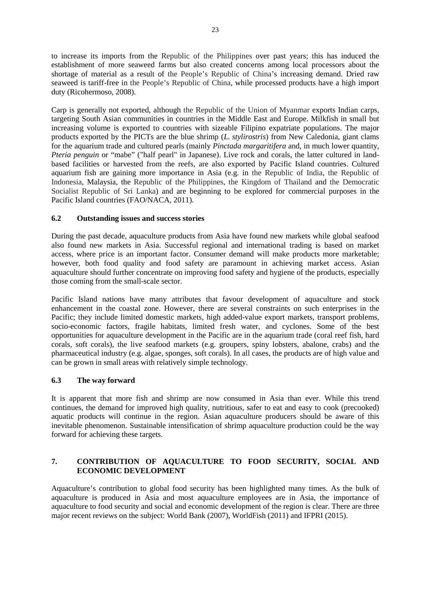to increase its imports from the Republic of the Philippines over past years; this has induced the establishment of more seaweed farms but also created concerns among local processors about the shortage of material as a result of the People's Republic of China's increasing demand. Dried raw seaweed is tariff-free in the People's Republic of China, while processed products have a high import duty (Ricohermoso, 2008).

Carp is generally not exported, although the Republic of the Union of Myanmar exports Indian carps, targeting South Asian communities in countries in the Middle East and Europe. Milkfish in small but increasing volume is exported to countries with sizeable Filipino expatriate populations. The major products exported by the PICTs are the blue shrimp (*L. stylirostris*) from New Caledonia, giant clams for the aquarium trade and cultured pearls (mainly *Pinctada margaritifera* and, in much lower quantity, *Pteria penguin* or "mabe" ("half pearl" in Japanese). Live rock and corals, the latter cultured in landbased facilities or harvested from the reefs, are also exported by Pacific Island countries. Cultured aquarium fish are gaining more importance in Asia (e.g. in the Republic of India, the Republic of Indonesia, Malaysia, the Republic of the Philippines, the Kingdom of Thailand and the Democratic Socialist Republic of Sri Lanka) and are beginning to be explored for commercial purposes in the Pacific Island countries (FAO/NACA, 2011).

### **6.2 Outstanding issues and success stories**

During the past decade, aquaculture products from Asia have found new markets while global seafood also found new markets in Asia. Successful regional and international trading is based on market access, where price is an important factor. Consumer demand will make products more marketable; however, both food quality and food safety are paramount in achieving market access. Asian aquaculture should further concentrate on improving food safety and hygiene of the products, especially those coming from the small-scale sector.

Pacific Island nations have many attributes that favour development of aquaculture and stock enhancement in the coastal zone. However, there are several constraints on such enterprises in the Pacific; they include limited domestic markets, high added-value export markets, transport problems, socio-economic factors, fragile habitats, limited fresh water, and cyclones. Some of the best opportunities for aquaculture development in the Pacific are in the aquarium trade (coral reef fish, hard corals, soft corals), the live seafood markets (e.g. groupers, spiny lobsters, abalone, crabs) and the pharmaceutical industry (e.g. algae, sponges, soft corals). In all cases, the products are of high value and can be grown in small areas with relatively simple technology.

### **6.3 The way forward**

It is apparent that more fish and shrimp are now consumed in Asia than ever. While this trend continues, the demand for improved high quality, nutritious, safer to eat and easy to cook (precooked) aquatic products will continue in the region. Asian aquaculture producers should be aware of this inevitable phenomenon. Sustainable intensification of shrimp aquaculture production could be the way forward for achieving these targets.

### **7. CONTRIBUTION OF AQUACULTURE TO FOOD SECURITY, SOCIAL AND ECONOMIC DEVELOPMENT**

Aquaculture's contribution to global food security has been highlighted many times. As the bulk of aquaculture is produced in Asia and most aquaculture employees are in Asia, the importance of aquaculture to food security and social and economic development of the region is clear. There are three major recent reviews on the subject: World Bank (2007), WorldFish (2011) and IFPRI (2015).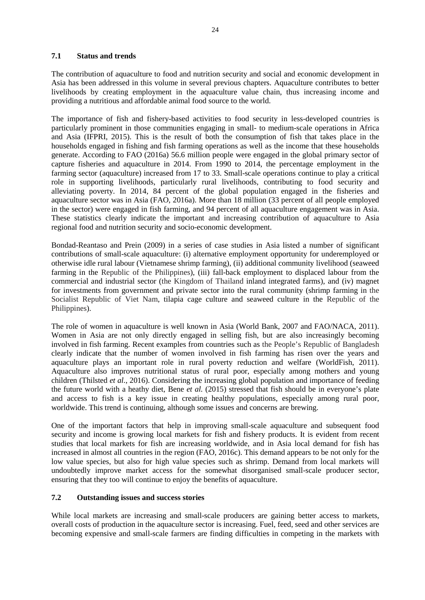### **7.1 Status and trends**

The contribution of aquaculture to food and nutrition security and social and economic development in Asia has been addressed in this volume in several previous chapters. Aquaculture contributes to better livelihoods by creating employment in the aquaculture value chain, thus increasing income and providing a nutritious and affordable animal food source to the world.

The importance of fish and fishery-based activities to food security in less-developed countries is particularly prominent in those communities engaging in small- to medium-scale operations in Africa and Asia (IFPRI, 2015). This is the result of both the consumption of fish that takes place in the households engaged in fishing and fish farming operations as well as the income that these households generate. According to FAO (2016a) 56.6 million people were engaged in the global primary sector of capture fisheries and aquaculture in 2014. From 1990 to 2014, the percentage employment in the farming sector (aquaculture) increased from 17 to 33. Small-scale operations continue to play a critical role in supporting livelihoods, particularly rural livelihoods, contributing to food security and alleviating poverty. In 2014, 84 percent of the global population engaged in the fisheries and aquaculture sector was in Asia (FAO, 2016a). More than 18 million (33 percent of all people employed in the sector) were engaged in fish farming, and 94 percent of all aquaculture engagement was in Asia. These statistics clearly indicate the important and increasing contribution of aquaculture to Asia regional food and nutrition security and socio-economic development.

Bondad-Reantaso and Prein (2009) in a series of case studies in Asia listed a number of significant contributions of small-scale aquaculture: (i) alternative employment opportunity for underemployed or otherwise idle rural labour (Vietnamese shrimp farming), (ii) additional community livelihood (seaweed farming in the Republic of the Philippines), (iii) fall-back employment to displaced labour from the commercial and industrial sector (the Kingdom of Thailand inland integrated farms), and (iv) magnet for investments from government and private sector into the rural community (shrimp farming in the Socialist Republic of Viet Nam, tilapia cage culture and seaweed culture in the Republic of the Philippines).

The role of women in aquaculture is well known in Asia (World Bank, 2007 and FAO/NACA, 2011). Women in Asia are not only directly engaged in selling fish, but are also increasingly becoming involved in fish farming. Recent examples from countries such as the People's Republic of Bangladesh clearly indicate that the number of women involved in fish farming has risen over the years and aquaculture plays an important role in rural poverty reduction and welfare (WorldFish, 2011). Aquaculture also improves nutritional status of rural poor, especially among mothers and young children (Thilsted *et al.*, 2016). Considering the increasing global population and importance of feeding the future world with a heathy diet, Bene *et al.* (2015) stressed that fish should be in everyone's plate and access to fish is a key issue in creating healthy populations, especially among rural poor, worldwide. This trend is continuing, although some issues and concerns are brewing.

One of the important factors that help in improving small-scale aquaculture and subsequent food security and income is growing local markets for fish and fishery products. It is evident from recent studies that local markets for fish are increasing worldwide, and in Asia local demand for fish has increased in almost all countries in the region (FAO, 2016c). This demand appears to be not only for the low value species, but also for high value species such as shrimp. Demand from local markets will undoubtedly improve market access for the somewhat disorganised small-scale producer sector, ensuring that they too will continue to enjoy the benefits of aquaculture.

### **7.2 Outstanding issues and success stories**

While local markets are increasing and small-scale producers are gaining better access to markets, overall costs of production in the aquaculture sector is increasing. Fuel, feed, seed and other services are becoming expensive and small-scale farmers are finding difficulties in competing in the markets with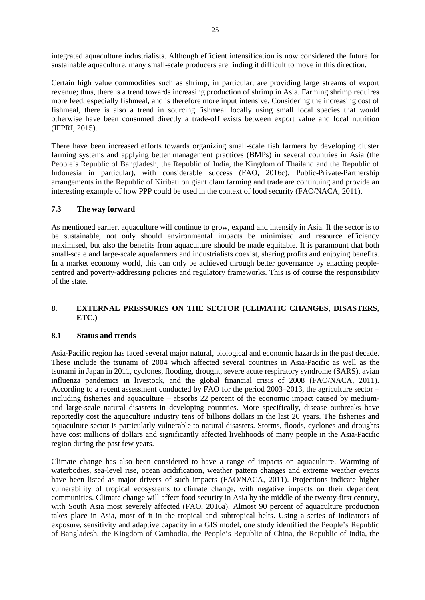integrated aquaculture industrialists. Although efficient intensification is now considered the future for sustainable aquaculture, many small-scale producers are finding it difficult to move in this direction.

Certain high value commodities such as shrimp, in particular, are providing large streams of export revenue; thus, there is a trend towards increasing production of shrimp in Asia. Farming shrimp requires more feed, especially fishmeal, and is therefore more input intensive. Considering the increasing cost of fishmeal, there is also a trend in sourcing fishmeal locally using small local species that would otherwise have been consumed directly a trade-off exists between export value and local nutrition (IFPRI, 2015).

There have been increased efforts towards organizing small-scale fish farmers by developing cluster farming systems and applying better management practices (BMPs) in several countries in Asia (the People's Republic of Bangladesh, the Republic of India, the Kingdom of Thailand and the Republic of Indonesia in particular), with considerable success (FAO, 2016c). Public-Private-Partnership arrangements in the Republic of Kiribati on giant clam farming and trade are continuing and provide an interesting example of how PPP could be used in the context of food security (FAO/NACA, 2011).

### **7.3 The way forward**

As mentioned earlier, aquaculture will continue to grow, expand and intensify in Asia. If the sector is to be sustainable, not only should environmental impacts be minimised and resource efficiency maximised, but also the benefits from aquaculture should be made equitable. It is paramount that both small-scale and large-scale aquafarmers and industrialists coexist, sharing profits and enjoying benefits. In a market economy world, this can only be achieved through better governance by enacting peoplecentred and poverty-addressing policies and regulatory frameworks. This is of course the responsibility of the state.

### **8. EXTERNAL PRESSURES ON THE SECTOR (CLIMATIC CHANGES, DISASTERS, ETC.)**

### **8.1 Status and trends**

Asia-Pacific region has faced several major natural, biological and economic hazards in the past decade. These include the tsunami of 2004 which affected several countries in Asia-Pacific as well as the tsunami in Japan in 2011, cyclones, flooding, drought, severe acute respiratory syndrome (SARS), avian influenza pandemics in livestock, and the global financial crisis of 2008 (FAO/NACA, 2011). According to a recent assessment conducted by FAO for the period 2003–2013, the agriculture sector – including fisheries and aquaculture – absorbs 22 percent of the economic impact caused by mediumand large-scale natural disasters in developing countries. More specifically, disease outbreaks have reportedly cost the aquaculture industry tens of billions dollars in the last 20 years. The fisheries and aquaculture sector is particularly vulnerable to natural disasters. Storms, floods, cyclones and droughts have cost millions of dollars and significantly affected livelihoods of many people in the Asia-Pacific region during the past few years.

Climate change has also been considered to have a range of impacts on aquaculture. Warming of waterbodies, sea-level rise, ocean acidification, weather pattern changes and extreme weather events have been listed as major drivers of such impacts (FAO/NACA, 2011). Projections indicate higher vulnerability of tropical ecosystems to climate change, with negative impacts on their dependent communities. Climate change will affect food security in Asia by the middle of the twenty-first century, with South Asia most severely affected (FAO, 2016a). Almost 90 percent of aquaculture production takes place in Asia, most of it in the tropical and subtropical belts. Using a series of indicators of exposure, sensitivity and adaptive capacity in a GIS model, one study identified the People's Republic of Bangladesh, the Kingdom of Cambodia, the People's Republic of China, the Republic of India, the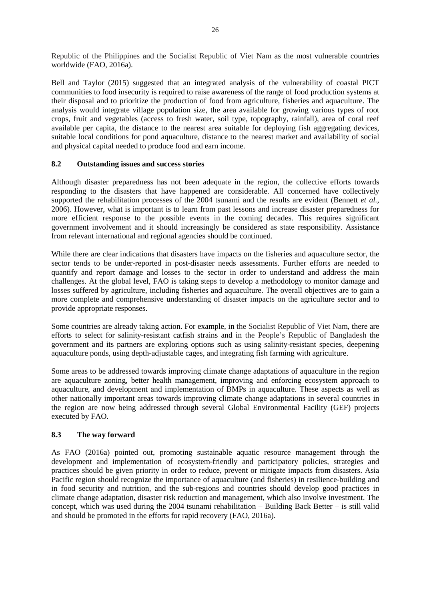Republic of the Philippines and the Socialist Republic of Viet Nam as the most vulnerable countries worldwide (FAO, 2016a).

Bell and Taylor (2015) suggested that an integrated analysis of the vulnerability of coastal PICT communities to food insecurity is required to raise awareness of the range of food production systems at their disposal and to prioritize the production of food from agriculture, fisheries and aquaculture. The analysis would integrate village population size, the area available for growing various types of root crops, fruit and vegetables (access to fresh water, soil type, topography, rainfall), area of coral reef available per capita, the distance to the nearest area suitable for deploying fish aggregating devices, suitable local conditions for pond aquaculture, distance to the nearest market and availability of social and physical capital needed to produce food and earn income.

### **8.2 Outstanding issues and success stories**

Although disaster preparedness has not been adequate in the region, the collective efforts towards responding to the disasters that have happened are considerable. All concerned have collectively supported the rehabilitation processes of the 2004 tsunami and the results are evident (Bennett *et al.*, 2006). However, what is important is to learn from past lessons and increase disaster preparedness for more efficient response to the possible events in the coming decades. This requires significant government involvement and it should increasingly be considered as state responsibility. Assistance from relevant international and regional agencies should be continued.

While there are clear indications that disasters have impacts on the fisheries and aquaculture sector, the sector tends to be under-reported in post-disaster needs assessments. Further efforts are needed to quantify and report damage and losses to the sector in order to understand and address the main challenges. At the global level, FAO is taking steps to develop a methodology to monitor damage and losses suffered by agriculture, including fisheries and aquaculture. The overall objectives are to gain a more complete and comprehensive understanding of disaster impacts on the agriculture sector and to provide appropriate responses.

Some countries are already taking action. For example, in the Socialist Republic of Viet Nam, there are efforts to select for salinity-resistant catfish strains and in the People's Republic of Bangladesh the government and its partners are exploring options such as using salinity-resistant species, deepening aquaculture ponds, using depth-adjustable cages, and integrating fish farming with agriculture.

Some areas to be addressed towards improving climate change adaptations of aquaculture in the region are aquaculture zoning, better health management, improving and enforcing ecosystem approach to aquaculture, and development and implementation of BMPs in aquaculture. These aspects as well as other nationally important areas towards improving climate change adaptations in several countries in the region are now being addressed through several Global Environmental Facility (GEF) projects executed by FAO.

### **8.3 The way forward**

As FAO (2016a) pointed out, promoting sustainable aquatic resource management through the development and implementation of ecosystem-friendly and participatory policies, strategies and practices should be given priority in order to reduce, prevent or mitigate impacts from disasters. Asia Pacific region should recognize the importance of aquaculture (and fisheries) in resilience-building and in food security and nutrition, and the sub-regions and countries should develop good practices in climate change adaptation, disaster risk reduction and management, which also involve investment. The concept, which was used during the 2004 tsunami rehabilitation – Building Back Better – is still valid and should be promoted in the efforts for rapid recovery (FAO, 2016a).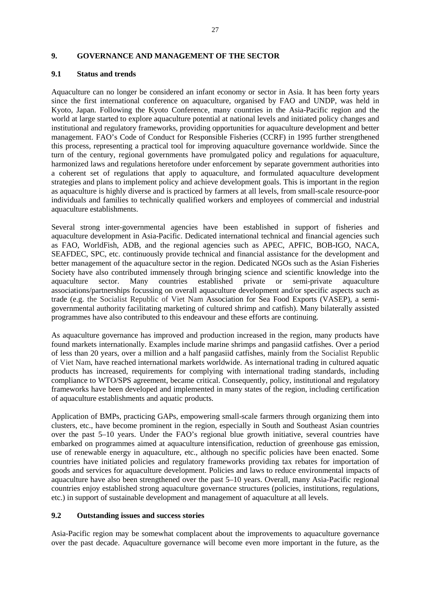#### **9. GOVERNANCE AND MANAGEMENT OF THE SECTOR**

#### **9.1 Status and trends**

Aquaculture can no longer be considered an infant economy or sector in Asia. It has been forty years since the first international conference on aquaculture, organised by FAO and UNDP, was held in Kyoto, Japan. Following the Kyoto Conference, many countries in the Asia-Pacific region and the world at large started to explore aquaculture potential at national levels and initiated policy changes and institutional and regulatory frameworks, providing opportunities for aquaculture development and better management. FAO's Code of Conduct for Responsible Fisheries (CCRF) in 1995 further strengthened this process, representing a practical tool for improving aquaculture governance worldwide. Since the turn of the century, regional governments have promulgated policy and regulations for aquaculture, harmonized laws and regulations heretofore under enforcement by separate government authorities into a coherent set of regulations that apply to aquaculture, and formulated aquaculture development strategies and plans to implement policy and achieve development goals. This is important in the region as aquaculture is highly diverse and is practiced by farmers at all levels, from small-scale resource-poor individuals and families to technically qualified workers and employees of commercial and industrial aquaculture establishments.

Several strong inter-governmental agencies have been established in support of fisheries and aquaculture development in Asia-Pacific. Dedicated international technical and financial agencies such as FAO, WorldFish, ADB, and the regional agencies such as APEC, APFIC, BOB-IGO, NACA, SEAFDEC, SPC, etc. continuously provide technical and financial assistance for the development and better management of the aquaculture sector in the region. Dedicated NGOs such as the Asian Fisheries Society have also contributed immensely through bringing science and scientific knowledge into the aquaculture sector. Many countries established private or semi-private aquaculture aquaculture sector. Many countries established private or semi-private aquaculture associations/partnerships focussing on overall aquaculture development and/or specific aspects such as trade (e.g. the Socialist Republic of Viet Nam Association for Sea Food Exports (VASEP), a semigovernmental authority facilitating marketing of cultured shrimp and catfish). Many bilaterally assisted programmes have also contributed to this endeavour and these efforts are continuing.

As aquaculture governance has improved and production increased in the region, many products have found markets internationally. Examples include marine shrimps and pangasiid catfishes. Over a period of less than 20 years, over a million and a half pangasiid catfishes, mainly from the Socialist Republic of Viet Nam, have reached international markets worldwide. As international trading in cultured aquatic products has increased, requirements for complying with international trading standards, including compliance to WTO/SPS agreement, became critical. Consequently, policy, institutional and regulatory frameworks have been developed and implemented in many states of the region, including certification of aquaculture establishments and aquatic products.

Application of BMPs, practicing GAPs, empowering small-scale farmers through organizing them into clusters, etc., have become prominent in the region, especially in South and Southeast Asian countries over the past 5–10 years. Under the FAO's regional blue growth initiative, several countries have embarked on programmes aimed at aquaculture intensification, reduction of greenhouse gas emission, use of renewable energy in aquaculture, etc., although no specific policies have been enacted. Some countries have initiated policies and regulatory frameworks providing tax rebates for importation of goods and services for aquaculture development. Policies and laws to reduce environmental impacts of aquaculture have also been strengthened over the past 5–10 years. Overall, many Asia-Pacific regional countries enjoy established strong aquaculture governance structures (policies, institutions, regulations, etc.) in support of sustainable development and management of aquaculture at all levels.

### **9.2 Outstanding issues and success stories**

Asia-Pacific region may be somewhat complacent about the improvements to aquaculture governance over the past decade. Aquaculture governance will become even more important in the future, as the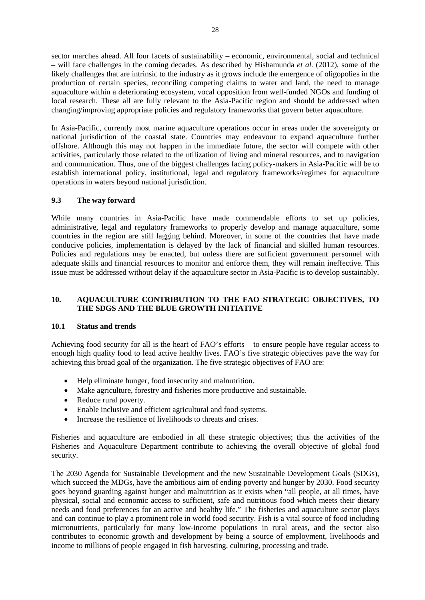sector marches ahead. All four facets of sustainability – economic, environmental, social and technical – will face challenges in the coming decades. As described by Hishamunda *et al.* (2012), some of the likely challenges that are intrinsic to the industry as it grows include the emergence of oligopolies in the production of certain species, reconciling competing claims to water and land, the need to manage aquaculture within a deteriorating ecosystem, vocal opposition from well-funded NGOs and funding of local research. These all are fully relevant to the Asia-Pacific region and should be addressed when changing/improving appropriate policies and regulatory frameworks that govern better aquaculture.

In Asia-Pacific, currently most marine aquaculture operations occur in areas under the sovereignty or national jurisdiction of the coastal state. Countries may endeavour to expand aquaculture further offshore. Although this may not happen in the immediate future, the sector will compete with other activities, particularly those related to the utilization of living and mineral resources, and to navigation and communication. Thus, one of the biggest challenges facing policy-makers in Asia-Pacific will be to establish international policy, institutional, legal and regulatory frameworks/regimes for aquaculture operations in waters beyond national jurisdiction.

### **9.3 The way forward**

While many countries in Asia-Pacific have made commendable efforts to set up policies, administrative, legal and regulatory frameworks to properly develop and manage aquaculture, some countries in the region are still lagging behind. Moreover, in some of the countries that have made conducive policies, implementation is delayed by the lack of financial and skilled human resources. Policies and regulations may be enacted, but unless there are sufficient government personnel with adequate skills and financial resources to monitor and enforce them, they will remain ineffective. This issue must be addressed without delay if the aquaculture sector in Asia-Pacific is to develop sustainably.

### **10. AQUACULTURE CONTRIBUTION TO THE FAO STRATEGIC OBJECTIVES, TO THE SDGS AND THE BLUE GROWTH INITIATIVE**

### **10.1 Status and trends**

Achieving food security for all is the heart of FAO's efforts – to ensure people have regular access to enough high quality food to lead active healthy lives. FAO's five strategic objectives pave the way for achieving this broad goal of the organization. The five strategic objectives of FAO are:

- Help eliminate hunger, food insecurity and malnutrition.
- Make agriculture, forestry and fisheries more productive and sustainable.
- Reduce rural poverty.
- Enable inclusive and efficient agricultural and food systems.
- Increase the resilience of livelihoods to threats and crises.

Fisheries and aquaculture are embodied in all these strategic objectives; thus the activities of the Fisheries and Aquaculture Department contribute to achieving the overall objective of global food security.

The 2030 Agenda for Sustainable Development and the new Sustainable Development Goals (SDGs), which succeed the MDGs, have the ambitious aim of ending poverty and hunger by 2030. Food security goes beyond guarding against hunger and malnutrition as it exists when "all people, at all times, have physical, social and economic access to sufficient, safe and nutritious food which meets their dietary needs and food preferences for an active and healthy life." The fisheries and aquaculture sector plays and can continue to play a prominent role in world food security. Fish is a vital source of food including micronutrients, particularly for many low-income populations in rural areas, and the sector also contributes to economic growth and development by being a source of employment, livelihoods and income to millions of people engaged in fish harvesting, culturing, processing and trade.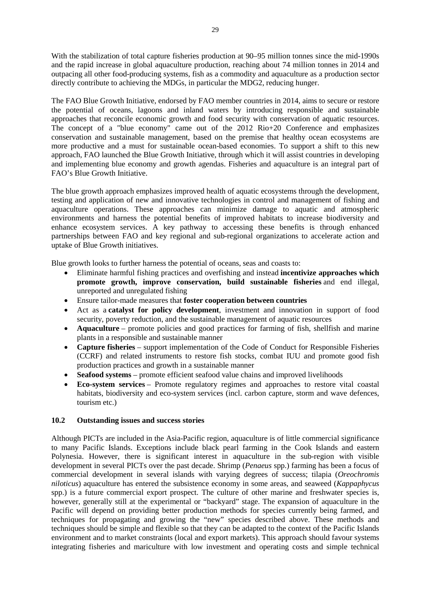With the stabilization of total capture fisheries production at 90–95 million tonnes since the mid-1990s and the rapid increase in global aquaculture production, reaching about 74 million tonnes in 2014 and outpacing all other food-producing systems, fish as a commodity and aquaculture as a production sector directly contribute to achieving the MDGs, in particular the MDG2, reducing hunger.

The FAO Blue Growth Initiative, endorsed by FAO member countries in 2014, aims to secure or restore the potential of oceans, lagoons and inland waters by introducing responsible and sustainable approaches that reconcile economic growth and food security with conservation of aquatic resources. The concept of a "blue economy" came out of the 2012 Rio+20 Conference and emphasizes conservation and sustainable management, based on the premise that healthy ocean ecosystems are more productive and a must for sustainable ocean-based economies. To support a shift to this new approach, FAO launched the Blue Growth Initiative, through which it will assist countries in developing and implementing blue economy and growth agendas. Fisheries and aquaculture is an integral part of FAO's Blue Growth Initiative.

The blue growth approach emphasizes improved health of aquatic ecosystems through the development, testing and application of new and innovative technologies in control and management of fishing and aquaculture operations. These approaches can minimize damage to aquatic and atmospheric environments and harness the potential benefits of improved habitats to increase biodiversity and enhance ecosystem services. A key pathway to accessing these benefits is through enhanced partnerships between FAO and key regional and sub-regional organizations to accelerate action and uptake of Blue Growth initiatives.

Blue growth looks to further harness the potential of oceans, seas and coasts to:

- Eliminate harmful fishing practices and overfishing and instead **incentivize approaches which promote growth, improve conservation, build sustainable fisheries** and end illegal, unreported and unregulated fishing
- Ensure tailor-made measures that **foster cooperation between countries**
- Act as a **catalyst for policy development**, investment and innovation in support of food security, poverty reduction, and the sustainable management of aquatic resources
- **Aquaculture** promote policies and good practices for farming of fish, shellfish and marine plants in a responsible and sustainable manner
- **Capture fisheries** support implementation of the Code of Conduct for Responsible Fisheries (CCRF) and related instruments to restore fish stocks, combat IUU and promote good fish production practices and growth in a sustainable manner
- **Seafood systems** promote efficient seafood value chains and improved livelihoods
- **Eco-system services** Promote regulatory regimes and approaches to restore vital coastal habitats, biodiversity and eco-system services (incl. carbon capture, storm and wave defences, tourism etc.)

### **10.2 Outstanding issues and success stories**

Although PICTs are included in the Asia-Pacific region, aquaculture is of little commercial significance to many Pacific Islands. Exceptions include black pearl farming in the Cook Islands and eastern Polynesia. However, there is significant interest in aquaculture in the sub-region with visible development in several PICTs over the past decade. Shrimp (*Penaeus* spp.) farming has been a focus of commercial development in several islands with varying degrees of success; tilapia (*Oreochromis niloticus*) aquaculture has entered the subsistence economy in some areas, and seaweed (*Kappaphycus* spp.) is a future commercial export prospect. The culture of other marine and freshwater species is, however, generally still at the experimental or "backyard" stage. The expansion of aquaculture in the Pacific will depend on providing better production methods for species currently being farmed, and techniques for propagating and growing the "new" species described above. These methods and techniques should be simple and flexible so that they can be adapted to the context of the Pacific Islands environment and to market constraints (local and export markets). This approach should favour systems integrating fisheries and mariculture with low investment and operating costs and simple technical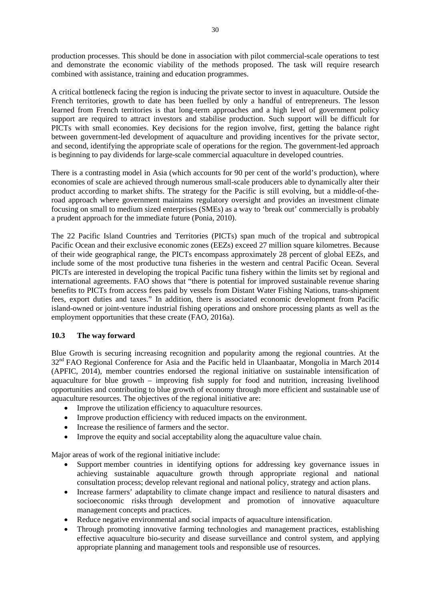production processes. This should be done in association with pilot commercial-scale operations to test and demonstrate the economic viability of the methods proposed. The task will require research combined with assistance, training and education programmes.

A critical bottleneck facing the region is inducing the private sector to invest in aquaculture. Outside the French territories, growth to date has been fuelled by only a handful of entrepreneurs. The lesson learned from French territories is that long-term approaches and a high level of government policy support are required to attract investors and stabilise production. Such support will be difficult for PICTs with small economies. Key decisions for the region involve, first, getting the balance right between government-led development of aquaculture and providing incentives for the private sector, and second, identifying the appropriate scale of operations for the region. The government-led approach is beginning to pay dividends for large-scale commercial aquaculture in developed countries.

There is a contrasting model in Asia (which accounts for 90 per cent of the world's production), where economies of scale are achieved through numerous small-scale producers able to dynamically alter their product according to market shifts. The strategy for the Pacific is still evolving, but a middle-of-theroad approach where government maintains regulatory oversight and provides an investment climate focusing on small to medium sized enterprises (SMEs) as a way to 'break out' commercially is probably a prudent approach for the immediate future (Ponia, 2010).

The 22 Pacific Island Countries and Territories (PICTs) span much of the tropical and subtropical Pacific Ocean and their exclusive economic zones (EEZs) exceed 27 million square kilometres. Because of their wide geographical range, the PICTs encompass approximately 28 percent of global EEZs, and include some of the most productive tuna fisheries in the western and central Pacific Ocean. Several PICTs are interested in developing the tropical Pacific tuna fishery within the limits set by regional and international agreements. FAO shows that "there is potential for improved sustainable revenue sharing benefits to PICTs from access fees paid by vessels from Distant Water Fishing Nations, trans-shipment fees, export duties and taxes." In addition, there is associated economic development from Pacific island-owned or joint-venture industrial fishing operations and onshore processing plants as well as the employment opportunities that these create (FAO, 2016a).

### **10.3 The way forward**

Blue Growth is securing increasing recognition and popularity among the regional countries. At the 32<sup>nd</sup> FAO Regional Conference for Asia and the Pacific held in Ulaanbaatar, Mongolia in March 2014 (APFIC, 2014), member countries endorsed the regional initiative on sustainable intensification of aquaculture for blue growth – improving fish supply for food and nutrition, increasing livelihood opportunities and contributing to blue growth of economy through more efficient and sustainable use of aquaculture resources. The objectives of the regional initiative are:

- Improve the utilization efficiency to aquaculture resources.
- Improve production efficiency with reduced impacts on the environment.
- Increase the resilience of farmers and the sector.
- Improve the equity and social acceptability along the aquaculture value chain.

Major areas of work of the regional initiative include:

- Support member countries in identifying options for addressing key governance issues in achieving sustainable aquaculture growth through appropriate regional and national consultation process; develop relevant regional and national policy, strategy and action plans.
- Increase farmers' adaptability to climate change impact and resilience to natural disasters and socioeconomic risks through development and promotion of innovative aquaculture management concepts and practices.
- Reduce negative environmental and social impacts of aquaculture intensification.
- Through promoting innovative farming technologies and management practices, establishing effective aquaculture bio-security and disease surveillance and control system, and applying appropriate planning and management tools and responsible use of resources.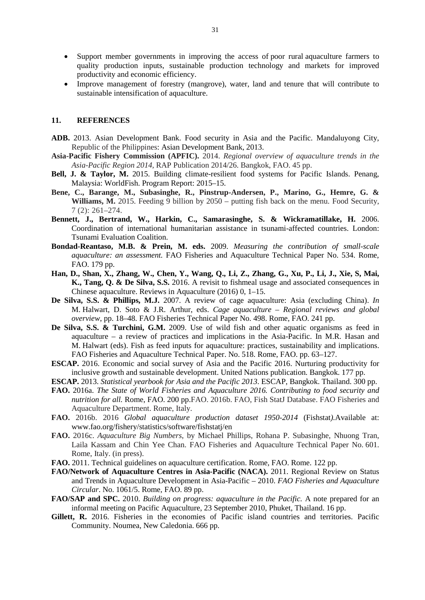- Support member governments in improving the access of poor rural aquaculture farmers to quality production inputs, sustainable production technology and markets for improved productivity and economic efficiency.
- Improve management of forestry (mangrove), water, land and tenure that will contribute to sustainable intensification of aquaculture.

#### **11. REFERENCES**

- **ADB.** 2013. Asian Development Bank. Food security in Asia and the Pacific. Mandaluyong City, Republic of the Philippines: Asian Development Bank, 2013.
- **Asia-Pacific Fishery Commission (APFIC).** 2014. *Regional overview of aquaculture trends in the Asia-Pacific Region 2014,* RAP Publication 2014/26. Bangkok, FAO. 45 pp.
- **Bell, J. & Taylor, M.** 2015. Building climate-resilient food systems for Pacific Islands. Penang, Malaysia: WorldFish. Program Report: 2015–15.
- **Bene, C., Barange, M., Subasinghe, R., Pinstrup-Andersen, P., Marino, G., Hemre, G. & Williams, M.** 2015. Feeding 9 billion by 2050 – putting fish back on the menu. Food Security, 7 (2): 261–274.
- **Bennett, J., Bertrand, W., Harkin, C., Samarasinghe, S. & Wickramatillake, H.** 2006. Coordination of international humanitarian assistance in tsunami-affected countries. London: Tsunami Evaluation Coalition.
- **Bondad-Reantaso, M.B. & Prein, M. eds.** 2009. *Measuring the contribution of small-scale aquaculture: an assessment.* FAO Fisheries and Aquaculture Technical Paper No. 534. Rome, FAO. 179 pp.
- **Han, D., Shan, X., Zhang, W., Chen, Y., Wang, Q., Li, Z., Zhang, G., Xu, P., Li, J., Xie, S, Mai, K., Tang, Q. & De Silva, S.S.** 2016. A revisit to fishmeal usage and associated consequences in Chinese aquaculture. Reviews in Aquaculture (2016) 0, 1–15.
- **De Silva, S.S. & Phillips, M.J.** 2007. A review of cage aquaculture: Asia (excluding China). *In*  M. Halwart, D. Soto & J.R. Arthur, eds. *Cage aquaculture – Regional reviews and global overview*, pp. 18–48. FAO Fisheries Technical Paper No. 498. Rome, FAO. 241 pp.
- **De Silva, S.S. & Turchini, G.M.** 2009. Use of wild fish and other aquatic organisms as feed in aquaculture – a review of practices and implications in the Asia-Pacific. In M.R. Hasan and M. Halwart (eds). Fish as feed inputs for aquaculture: practices, sustainability and implications. FAO Fisheries and Aquaculture Technical Paper. No. 518. Rome, FAO. pp. 63–127.
- **ESCAP.** 2016. Economic and social survey of Asia and the Pacific 2016. Nurturing productivity for inclusive growth and sustainable development. United Nations publication. Bangkok. 177 pp.
- **ESCAP.** 2013. *Statistical yearbook for Asia and the Pacific 2013*. ESCAP, Bangkok. Thailand. 300 pp.
- **FAO.** 2016a. *The State of World Fisheries and Aquaculture 2016. Contributing to food security and nutrition for all.* Rome, FAO. 200 pp.FAO. 2016b. FAO, Fish StatJ Database. FAO Fisheries and Aquaculture Department. Rome, Italy.
- **FAO.** 2016b. 2016 *Global aquaculture production dataset 1950-2014* (Fishstat*).*Available at: www.fao.org/fishery/statistics/software/fishstatj/en
- **FAO.** 2016c. *Aquaculture Big Numbers*, by Michael Phillips, Rohana P. Subasinghe, Nhuong Tran, Laila Kassam and Chin Yee Chan. FAO Fisheries and Aquaculture Technical Paper No. 601. Rome, Italy. (in press).
- **FAO.** 2011. Technical guidelines on aquaculture certification. Rome, FAO. Rome. 122 pp.
- **FAO/Network of Aquaculture Centres in Asia-Pacific (NACA).** 2011. Regional Review on Status and Trends in Aquaculture Development in Asia-Pacific – 2010. *FAO Fisheries and Aquaculture Circular*. No. 1061/5. Rome, FAO. 89 pp.
- **FAO/SAP and SPC.** 2010. *Building on progress: aquaculture in the Pacific.* A note prepared for an informal meeting on Pacific Aquaculture, 23 September 2010, Phuket, Thailand. 16 pp.
- **Gillett, R.** 2016. Fisheries in the economies of Pacific island countries and territories. Pacific Community. Noumea, New Caledonia. 666 pp.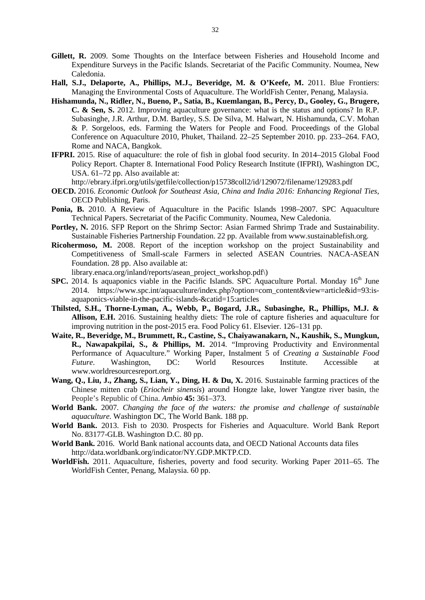- **Gillett, R.** 2009. Some Thoughts on the Interface between Fisheries and Household Income and Expenditure Surveys in the Pacific Islands. Secretariat of the Pacific Community. Noumea, New Caledonia.
- **Hall, S.J., Delaporte, A., Phillips, M.J., Beveridge, M. & O'Keefe, M.** 2011. Blue Frontiers: Managing the Environmental Costs of Aquaculture. The WorldFish Center, Penang, Malaysia.
- **Hishamunda, N., Ridler, N., Bueno, P., Satia, B., Kuemlangan, B., Percy, D., Gooley, G., Brugere, C. & Sen, S.** 2012. Improving aquaculture governance: what is the status and options? In R.P. Subasinghe, J.R. Arthur, D.M. Bartley, S.S. De Silva, M. Halwart, N. Hishamunda, C.V. Mohan & P. Sorgeloos, eds. Farming the Waters for People and Food. Proceedings of the Global Conference on Aquaculture 2010, Phuket, Thailand. 22–25 September 2010. pp. 233–264. FAO, Rome and NACA, Bangkok.
- **IFPRI.** 2015. Rise of aquaculture: the role of fish in global food security. In 2014–2015 Global Food Policy Report. Chapter 8. International Food Policy Research Institute (IFPRI), Washington DC, USA. 61–72 pp. Also available at:

http://ebrary.ifpri.org/utils/getfile/collection/p15738coll2/id/129072/filename/129283.pdf

- **OECD.** 2016. *Economic Outlook for Southeast Asia, China and India 2016: Enhancing Regional Ties*, OECD Publishing, Paris.
- **Ponia, B.** 2010. A Review of Aquaculture in the Pacific Islands 1998–2007. SPC Aquaculture Technical Papers. Secretariat of the Pacific Community. Noumea, New Caledonia.
- Portley, N. 2016. SFP Report on the Shrimp Sector: Asian Farmed Shrimp Trade and Sustainability. Sustainable Fisheries Partnership Foundation. 22 pp. Available from www.sustainablefish.org.
- **Ricohermoso, M.** 2008. Report of the inception workshop on the project Sustainability and Competitiveness of Small-scale Farmers in selected ASEAN Countries*.* NACA-ASEAN Foundation. 28 pp. Also available at:
	- library.enaca.org/inland/reports/asean\_project\_workshop.pdf\)
- **SPC.** 2014. Is aquaponics viable in the Pacific Islands. SPC Aquaculture Portal. Monday 16<sup>th</sup> June 2014. https://www.spc.int/aquaculture/index.php?option=com\_content&view=article&id=93:isaquaponics-viable-in-the-pacific-islands-&catid=15:articles
- **Thilsted, S.H., Thorne-Lyman, A., Webb, P., Bogard, J.R., Subasinghe, R., Phillips, M.J. & Allison, E.H.** 2016. Sustaining healthy diets: The role of capture fisheries and aquaculture for improving nutrition in the post-2015 era. Food Policy 61. Elsevier. 126–131 pp.
- **Waite, R., Beveridge, M., Brummett, R., Castine, S., Chaiyawanakarn, N., Kaushik, S., Mungkun, R., Nawapakpilai, S., & Phillips, M.** 2014. "Improving Productivity and Environmental Performance of Aquaculture." Working Paper, Instalment 5 of *Creating a Sustainable Food Future*. Washington, DC: World Resources Institute. Accessible at www.worldresourcesreport.org.
- **Wang, Q., Liu, J., Zhang, S., Lian, Y., Ding, H. & Du, X.** 2016. Sustainable farming practices of the Chinese mitten crab (*Eriocheir sinensis*) around Hongze lake, lower Yangtze river basin, the People's Republic of China. *Ambio* **45:** 361–373.
- **World Bank.** 2007. *Changing the face of the waters: the promise and challenge of sustainable aquaculture.* Washington DC, The World Bank. 188 pp.
- **World Bank.** 2013. Fish to 2030. Prospects for Fisheries and Aquaculture. World Bank Report No. 83177-GLB. Washington D.C. 80 pp.
- **World Bank.** 2016. World Bank national accounts data, and OECD National Accounts data files http://data.worldbank.org/indicator/NY.GDP.MKTP.CD.
- **WorldFish.** 2011. Aquaculture, fisheries, poverty and food security. Working Paper 2011–65. The WorldFish Center, Penang, Malaysia. 60 pp.